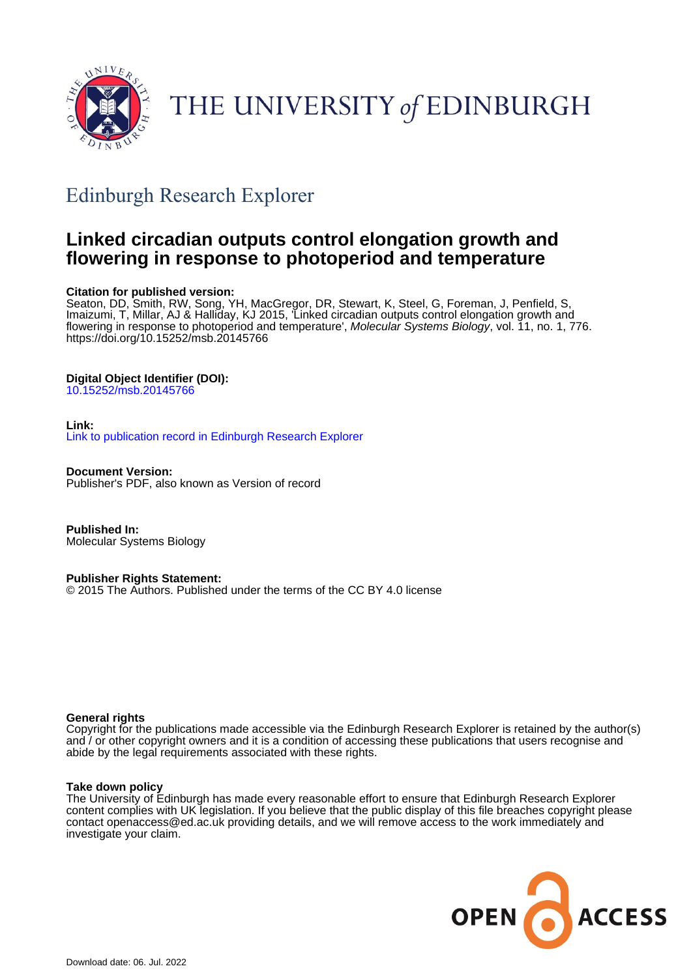

THE UNIVERSITY of EDINBURGH

# Edinburgh Research Explorer

# **Linked circadian outputs control elongation growth and flowering in response to photoperiod and temperature**

# **Citation for published version:**

Seaton, DD, Smith, RW, Song, YH, MacGregor, DR, Stewart, K, Steel, G, Foreman, J, Penfield, S, Imaizumi, T, Millar, AJ & Halliday, KJ 2015, 'Linked circadian outputs control elongation growth and flowering in response to photoperiod and temperature', Molecular Systems Biology, vol. 11, no. 1, 776. <https://doi.org/10.15252/msb.20145766>

# **Digital Object Identifier (DOI):**

[10.15252/msb.20145766](https://doi.org/10.15252/msb.20145766)

# **Link:**

[Link to publication record in Edinburgh Research Explorer](https://www.research.ed.ac.uk/en/publications/c20ea894-ffb1-486b-988f-ff6f7ff9541d)

**Document Version:** Publisher's PDF, also known as Version of record

**Published In:** Molecular Systems Biology

# **Publisher Rights Statement:**

© 2015 The Authors. Published under the terms of the CC BY 4.0 license

# **General rights**

Copyright for the publications made accessible via the Edinburgh Research Explorer is retained by the author(s) and / or other copyright owners and it is a condition of accessing these publications that users recognise and abide by the legal requirements associated with these rights.

# **Take down policy**

The University of Edinburgh has made every reasonable effort to ensure that Edinburgh Research Explorer content complies with UK legislation. If you believe that the public display of this file breaches copyright please contact openaccess@ed.ac.uk providing details, and we will remove access to the work immediately and investigate your claim.

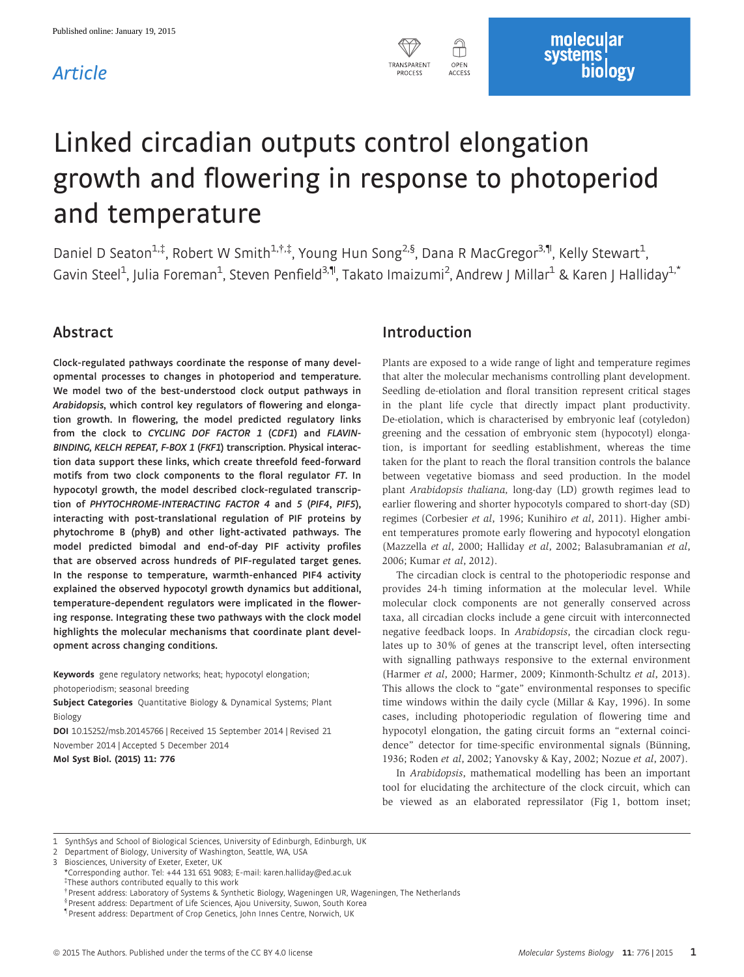# Article



# Linked circadian outputs control elongation growth and flowering in response to photoperiod and temperature

Daniel D Seaton<sup>1,‡</sup>, Robert W Smith<sup>1,†,‡</sup>, Young Hun Song<sup>2,§</sup>, Dana R MacGregor<sup>3,¶</sup>, Kelly Stewart<sup>1</sup> , Gavin Steel<sup>1</sup>, Julia Foreman<sup>1</sup>, Steven Penfield<sup>3,¶</sup>, Takato Imaizumi<sup>2</sup>, Andrew J Millar<sup>1</sup> & Karen J Halliday<sup>1,\*</sup>

# Abstract

Clock-regulated pathways coordinate the response of many developmental processes to changes in photoperiod and temperature. We model two of the best-understood clock output pathways in Arabidopsis, which control key regulators of flowering and elongation growth. In flowering, the model predicted regulatory links from the clock to CYCLING DOF FACTOR 1 (CDF1) and FLAVIN-BINDING, KELCH REPEAT, F-BOX 1 (FKF1) transcription. Physical interaction data support these links, which create threefold feed-forward motifs from two clock components to the floral regulator FT. In hypocotyl growth, the model described clock-regulated transcription of PHYTOCHROME-INTERACTING FACTOR 4 and 5 (PIF4, PIF5), interacting with post-translational regulation of PIF proteins by phytochrome B (phyB) and other light-activated pathways. The model predicted bimodal and end-of-day PIF activity profiles that are observed across hundreds of PIF-regulated target genes. In the response to temperature, warmth-enhanced PIF4 activity explained the observed hypocotyl growth dynamics but additional, temperature-dependent regulators were implicated in the flowering response. Integrating these two pathways with the clock model highlights the molecular mechanisms that coordinate plant development across changing conditions.

Keywords gene regulatory networks; heat; hypocotyl elongation; photoperiodism; seasonal breeding

Subject Categories Quantitative Biology & Dynamical Systems; Plant Biology

DOI 10.15252/msb.20145766 | Received 15 September 2014 | Revised 21 November 2014 | Accepted 5 December 2014

Mol Syst Biol. (2015) 11: 776

# Introduction

Plants are exposed to a wide range of light and temperature regimes that alter the molecular mechanisms controlling plant development. Seedling de-etiolation and floral transition represent critical stages in the plant life cycle that directly impact plant productivity. De-etiolation, which is characterised by embryonic leaf (cotyledon) greening and the cessation of embryonic stem (hypocotyl) elongation, is important for seedling establishment, whereas the time taken for the plant to reach the floral transition controls the balance between vegetative biomass and seed production. In the model plant Arabidopsis thaliana, long-day (LD) growth regimes lead to earlier flowering and shorter hypocotyls compared to short-day (SD) regimes (Corbesier et al, 1996; Kunihiro et al, 2011). Higher ambient temperatures promote early flowering and hypocotyl elongation (Mazzella et al, 2000; Halliday et al, 2002; Balasubramanian et al, 2006; Kumar et al, 2012).

The circadian clock is central to the photoperiodic response and provides 24-h timing information at the molecular level. While molecular clock components are not generally conserved across taxa, all circadian clocks include a gene circuit with interconnected negative feedback loops. In Arabidopsis, the circadian clock regulates up to 30% of genes at the transcript level, often intersecting with signalling pathways responsive to the external environment (Harmer et al, 2000; Harmer, 2009; Kinmonth-Schultz et al, 2013). This allows the clock to "gate" environmental responses to specific time windows within the daily cycle (Millar & Kay, 1996). In some cases, including photoperiodic regulation of flowering time and hypocotyl elongation, the gating circuit forms an "external coincidence" detector for time-specific environmental signals (Bünning, 1936; Roden et al, 2002; Yanovsky & Kay, 2002; Nozue et al, 2007).

In Arabidopsis, mathematical modelling has been an important tool for elucidating the architecture of the clock circuit, which can be viewed as an elaborated repressilator (Fig 1, bottom inset;

<sup>1</sup> SynthSys and School of Biological Sciences, University of Edinburgh, Edinburgh, UK

<sup>2</sup> Department of Biology, University of Washington, Seattle, WA, USA

Biosciences, University of Exeter, Exeter, UK

<sup>\*</sup>Corresponding author. Tel: +44 131 651 9083; E-mail: karen.halliday@ed.ac.uk ‡

These authors contributed equally to this work

<sup>†</sup> Present address: Laboratory of Systems & Synthetic Biology, Wageningen UR, Wageningen, The Netherlands

<sup>§</sup> Present address: Department of Life Sciences, Ajou University, Suwon, South Korea

<sup>–</sup> Present address: Department of Crop Genetics, John Innes Centre, Norwich, UK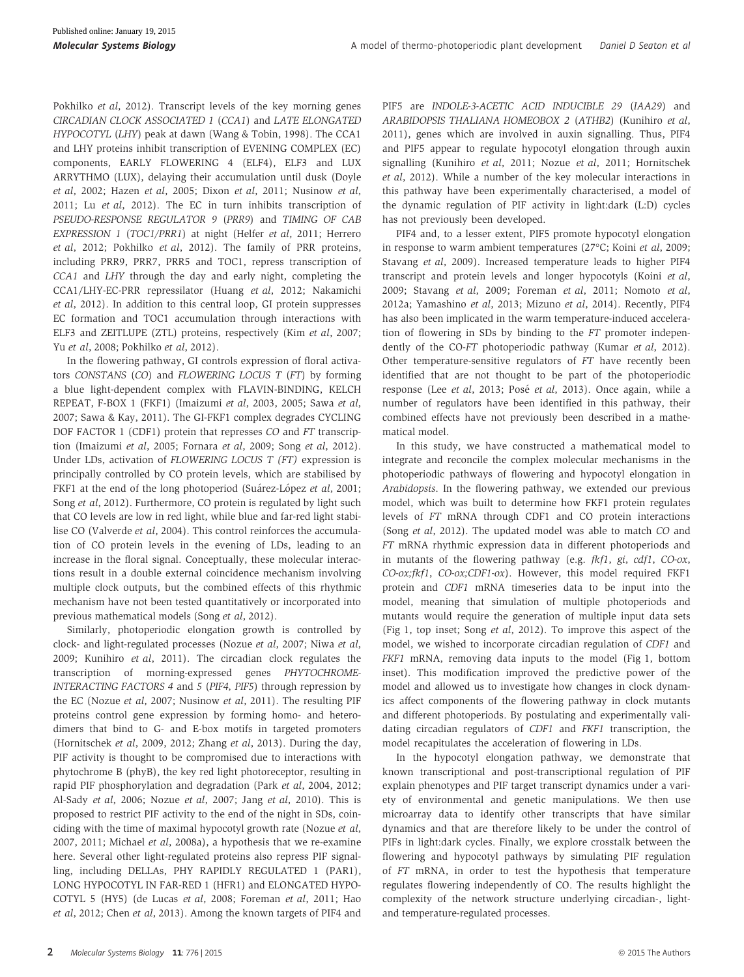Pokhilko et al, 2012). Transcript levels of the key morning genes CIRCADIAN CLOCK ASSOCIATED 1 (CCA1) and LATE ELONGATED HYPOCOTYL (LHY) peak at dawn (Wang & Tobin, 1998). The CCA1 and LHY proteins inhibit transcription of EVENING COMPLEX (EC) components, EARLY FLOWERING 4 (ELF4), ELF3 and LUX ARRYTHMO (LUX), delaying their accumulation until dusk (Doyle et al, 2002; Hazen et al, 2005; Dixon et al, 2011; Nusinow et al, 2011; Lu et al, 2012). The EC in turn inhibits transcription of PSEUDO-RESPONSE REGULATOR 9 (PRR9) and TIMING OF CAB EXPRESSION 1 (TOC1/PRR1) at night (Helfer et al, 2011; Herrero et al, 2012; Pokhilko et al, 2012). The family of PRR proteins, including PRR9, PRR7, PRR5 and TOC1, repress transcription of CCA1 and LHY through the day and early night, completing the CCA1/LHY-EC-PRR repressilator (Huang et al, 2012; Nakamichi et al, 2012). In addition to this central loop, GI protein suppresses EC formation and TOC1 accumulation through interactions with ELF3 and ZEITLUPE (ZTL) proteins, respectively (Kim et al, 2007; Yu et al, 2008; Pokhilko et al, 2012).

In the flowering pathway, GI controls expression of floral activators CONSTANS (CO) and FLOWERING LOCUS T (FT) by forming a blue light-dependent complex with FLAVIN-BINDING, KELCH REPEAT, F-BOX 1 (FKF1) (Imaizumi et al, 2003, 2005; Sawa et al, 2007; Sawa & Kay, 2011). The GI-FKF1 complex degrades CYCLING DOF FACTOR 1 (CDF1) protein that represses CO and FT transcription (Imaizumi et al, 2005; Fornara et al, 2009; Song et al, 2012). Under LDs, activation of FLOWERING LOCUS T (FT) expression is principally controlled by CO protein levels, which are stabilised by FKF1 at the end of the long photoperiod (Suárez-López et al, 2001; Song et al, 2012). Furthermore, CO protein is regulated by light such that CO levels are low in red light, while blue and far-red light stabilise CO (Valverde et al, 2004). This control reinforces the accumulation of CO protein levels in the evening of LDs, leading to an increase in the floral signal. Conceptually, these molecular interactions result in a double external coincidence mechanism involving multiple clock outputs, but the combined effects of this rhythmic mechanism have not been tested quantitatively or incorporated into previous mathematical models (Song et al, 2012).

Similarly, photoperiodic elongation growth is controlled by clock- and light-regulated processes (Nozue et al, 2007; Niwa et al, 2009; Kunihiro et al, 2011). The circadian clock regulates the transcription of morning-expressed genes PHYTOCHROME-INTERACTING FACTORS 4 and 5 (PIF4, PIF5) through repression by the EC (Nozue et al, 2007; Nusinow et al, 2011). The resulting PIF proteins control gene expression by forming homo- and heterodimers that bind to G- and E-box motifs in targeted promoters (Hornitschek et al, 2009, 2012; Zhang et al, 2013). During the day, PIF activity is thought to be compromised due to interactions with phytochrome B (phyB), the key red light photoreceptor, resulting in rapid PIF phosphorylation and degradation (Park et al, 2004, 2012; Al-Sady et al, 2006; Nozue et al, 2007; Jang et al, 2010). This is proposed to restrict PIF activity to the end of the night in SDs, coinciding with the time of maximal hypocotyl growth rate (Nozue et al, 2007, 2011; Michael et al, 2008a), a hypothesis that we re-examine here. Several other light-regulated proteins also repress PIF signalling, including DELLAs, PHY RAPIDLY REGULATED 1 (PAR1), LONG HYPOCOTYL IN FAR-RED 1 (HFR1) and ELONGATED HYPO-COTYL 5 (HY5) (de Lucas et al, 2008; Foreman et al, 2011; Hao et al, 2012; Chen et al, 2013). Among the known targets of PIF4 and PIF5 are INDOLE-3-ACETIC ACID INDUCIBLE 29 (IAA29) and ARABIDOPSIS THALIANA HOMEOBOX 2 (ATHB2) (Kunihiro et al, 2011), genes which are involved in auxin signalling. Thus, PIF4 and PIF5 appear to regulate hypocotyl elongation through auxin signalling (Kunihiro et al, 2011; Nozue et al, 2011; Hornitschek et al, 2012). While a number of the key molecular interactions in this pathway have been experimentally characterised, a model of the dynamic regulation of PIF activity in light:dark (L:D) cycles has not previously been developed.

PIF4 and, to a lesser extent, PIF5 promote hypocotyl elongation in response to warm ambient temperatures (27°C; Koini et al, 2009; Stavang et al, 2009). Increased temperature leads to higher PIF4 transcript and protein levels and longer hypocotyls (Koini et al, 2009; Stavang et al, 2009; Foreman et al, 2011; Nomoto et al, 2012a; Yamashino et al, 2013; Mizuno et al, 2014). Recently, PIF4 has also been implicated in the warm temperature-induced acceleration of flowering in SDs by binding to the FT promoter independently of the CO-FT photoperiodic pathway (Kumar et al, 2012). Other temperature-sensitive regulators of FT have recently been identified that are not thought to be part of the photoperiodic response (Lee et al, 2013; Posé et al, 2013). Once again, while a number of regulators have been identified in this pathway, their combined effects have not previously been described in a mathematical model.

In this study, we have constructed a mathematical model to integrate and reconcile the complex molecular mechanisms in the photoperiodic pathways of flowering and hypocotyl elongation in Arabidopsis. In the flowering pathway, we extended our previous model, which was built to determine how FKF1 protein regulates levels of FT mRNA through CDF1 and CO protein interactions (Song et al, 2012). The updated model was able to match CO and FT mRNA rhythmic expression data in different photoperiods and in mutants of the flowering pathway (e.g. fkf1, gi, cdf1, CO-ox, CO-ox;fkf1, CO-ox;CDF1-ox). However, this model required FKF1 protein and CDF1 mRNA timeseries data to be input into the model, meaning that simulation of multiple photoperiods and mutants would require the generation of multiple input data sets (Fig 1, top inset; Song et al, 2012). To improve this aspect of the model, we wished to incorporate circadian regulation of CDF1 and FKF1 mRNA, removing data inputs to the model (Fig 1, bottom inset). This modification improved the predictive power of the model and allowed us to investigate how changes in clock dynamics affect components of the flowering pathway in clock mutants and different photoperiods. By postulating and experimentally validating circadian regulators of CDF1 and FKF1 transcription, the model recapitulates the acceleration of flowering in LDs.

In the hypocotyl elongation pathway, we demonstrate that known transcriptional and post-transcriptional regulation of PIF explain phenotypes and PIF target transcript dynamics under a variety of environmental and genetic manipulations. We then use microarray data to identify other transcripts that have similar dynamics and that are therefore likely to be under the control of PIFs in light:dark cycles. Finally, we explore crosstalk between the flowering and hypocotyl pathways by simulating PIF regulation of FT mRNA, in order to test the hypothesis that temperature regulates flowering independently of CO. The results highlight the complexity of the network structure underlying circadian-, lightand temperature-regulated processes.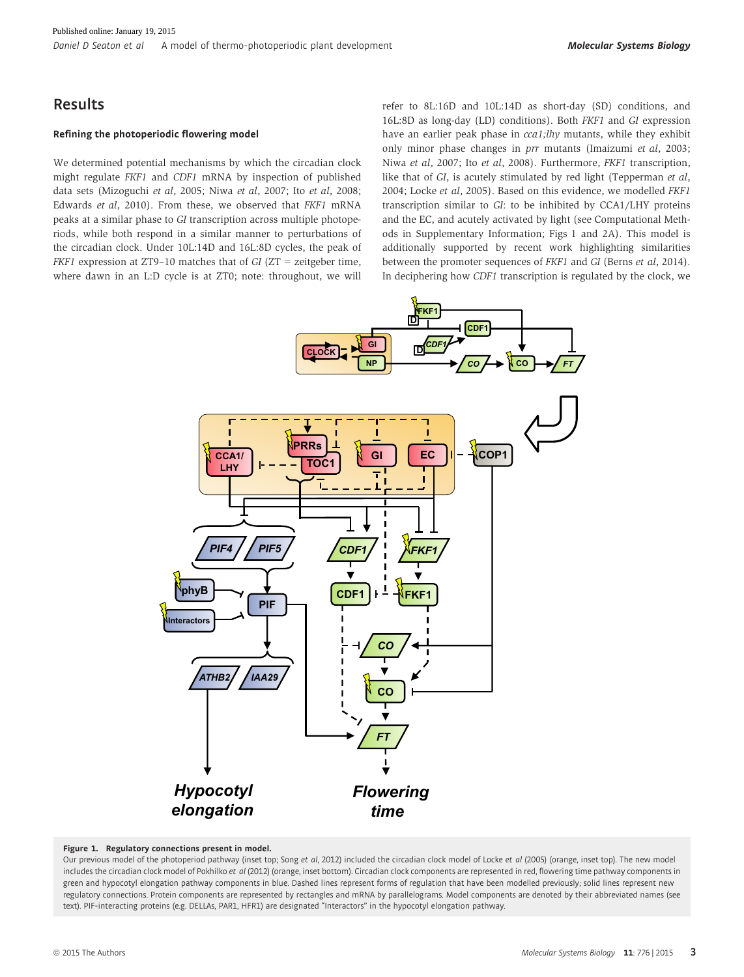# Results

### Refining the photoperiodic flowering model

We determined potential mechanisms by which the circadian clock might regulate FKF1 and CDF1 mRNA by inspection of published data sets (Mizoguchi et al, 2005; Niwa et al, 2007; Ito et al, 2008; Edwards et al, 2010). From these, we observed that FKF1 mRNA peaks at a similar phase to GI transcription across multiple photoperiods, while both respond in a similar manner to perturbations of the circadian clock. Under 10L:14D and 16L:8D cycles, the peak of FKF1 expression at ZT9–10 matches that of GI (ZT = zeitgeber time, where dawn in an L:D cycle is at ZT0; note: throughout, we will

refer to 8L:16D and 10L:14D as short-day (SD) conditions, and 16L:8D as long-day (LD) conditions). Both FKF1 and GI expression have an earlier peak phase in cca1;lhy mutants, while they exhibit only minor phase changes in prr mutants (Imaizumi et al, 2003; Niwa et al, 2007; Ito et al, 2008). Furthermore, FKF1 transcription, like that of GI, is acutely stimulated by red light (Tepperman et al, 2004; Locke et al, 2005). Based on this evidence, we modelled FKF1 transcription similar to GI: to be inhibited by CCA1/LHY proteins and the EC, and acutely activated by light (see Computational Methods in Supplementary Information; Figs 1 and 2A). This model is additionally supported by recent work highlighting similarities between the promoter sequences of FKF1 and GI (Berns et al, 2014). In deciphering how CDF1 transcription is regulated by the clock, we



### Figure 1. Regulatory connections present in model.

Our previous model of the photoperiod pathway (inset top; Song et al, 2012) included the circadian clock model of Locke et al (2005) (orange, inset top). The new model includes the circadian clock model of Pokhilko et al (2012) (orange, inset bottom). Circadian clock components are represented in red, flowering time pathway components in green and hypocotyl elongation pathway components in blue. Dashed lines represent forms of regulation that have been modelled previously; solid lines represent new regulatory connections. Protein components are represented by rectangles and mRNA by parallelograms. Model components are denoted by their abbreviated names (see text). PIF-interacting proteins (e.g. DELLAs, PAR1, HFR1) are designated "Interactors" in the hypocotyl elongation pathway.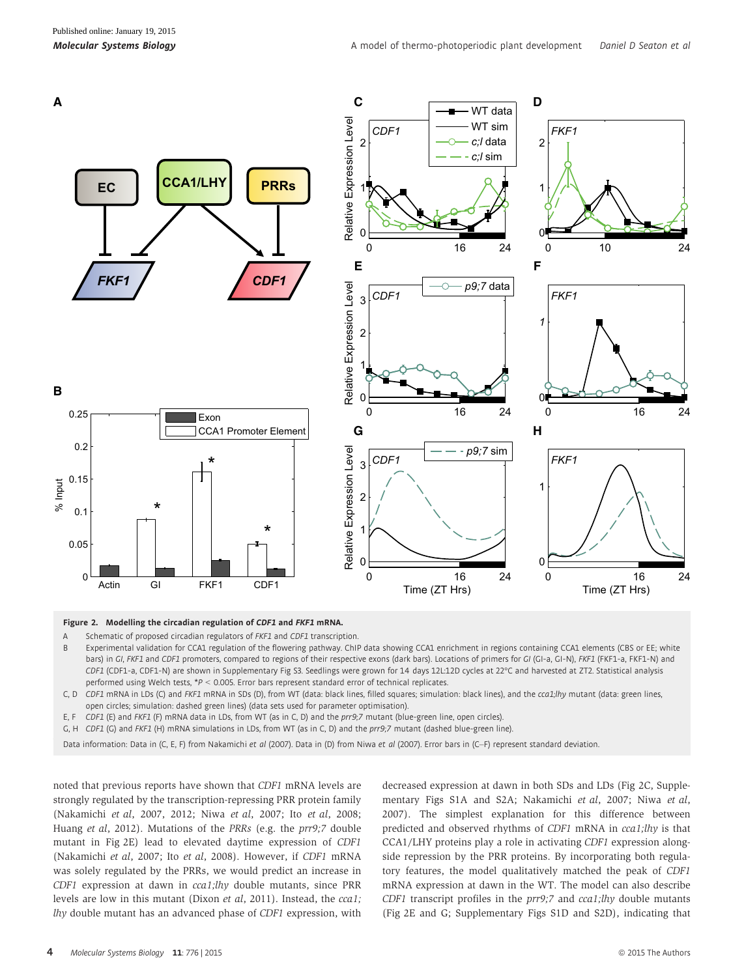

Figure 2. Modelling the circadian regulation of CDF1 and FKF1 mRNA.<br>A Schematic of proposed circadian regulators of FKF1 and CDF1 transcription

- Schematic of proposed circadian regulators of FKF1 and CDF1 transcription.
- B Experimental validation for CCA1 regulation of the flowering pathway. ChIP data showing CCA1 enrichment in regions containing CCA1 elements (CBS or EE; white bars) in GI, FKF1 and CDF1 promoters, compared to regions of their respective exons (dark bars). Locations of primers for GI (GI-a, GI-N), FKF1 (FKF1-a, FKF1-N) and CDF1 (CDF1-a, CDF1-N) are shown in Supplementary Fig S3. Seedlings were grown for 14 days 12L:12D cycles at 22°C and harvested at ZT2. Statistical analysis performed using Welch tests, \*P < 0.005. Error bars represent standard error of technical replicates.
- C, D CDF1 mRNA in LDs (C) and FKF1 mRNA in SDs (D), from WT (data: black lines, filled squares; simulation: black lines), and the cca1;lhy mutant (data: green lines, open circles; simulation: dashed green lines) (data sets used for parameter optimisation).
- E, F CDF1 (E) and FKF1 (F) mRNA data in LDs, from WT (as in C, D) and the prr9;7 mutant (blue-green line, open circles).
- G, H CDF1 (G) and FKF1 (H) mRNA simulations in LDs, from WT (as in C, D) and the prr9;7 mutant (dashed blue-green line).

Data information: Data in (C, E, F) from Nakamichi et al (2007). Data in (D) from Niwa et al (2007). Error bars in (C–F) represent standard deviation.

noted that previous reports have shown that CDF1 mRNA levels are strongly regulated by the transcription-repressing PRR protein family (Nakamichi et al, 2007, 2012; Niwa et al, 2007; Ito et al, 2008; Huang et al, 2012). Mutations of the PRRs (e.g. the prr9;7 double mutant in Fig 2E) lead to elevated daytime expression of CDF1 (Nakamichi et al, 2007; Ito et al, 2008). However, if CDF1 mRNA was solely regulated by the PRRs, we would predict an increase in CDF1 expression at dawn in cca1;lhy double mutants, since PRR levels are low in this mutant (Dixon et al, 2011). Instead, the cca1; lhy double mutant has an advanced phase of CDF1 expression, with decreased expression at dawn in both SDs and LDs (Fig 2C, Supplementary Figs S1A and S2A; Nakamichi et al, 2007; Niwa et al, 2007). The simplest explanation for this difference between predicted and observed rhythms of CDF1 mRNA in cca1;lhy is that CCA1/LHY proteins play a role in activating CDF1 expression alongside repression by the PRR proteins. By incorporating both regulatory features, the model qualitatively matched the peak of CDF1 mRNA expression at dawn in the WT. The model can also describe  $CDF1$  transcript profiles in the  $prr9;7$  and  $cca1;lhy$  double mutants (Fig 2E and G; Supplementary Figs S1D and S2D), indicating that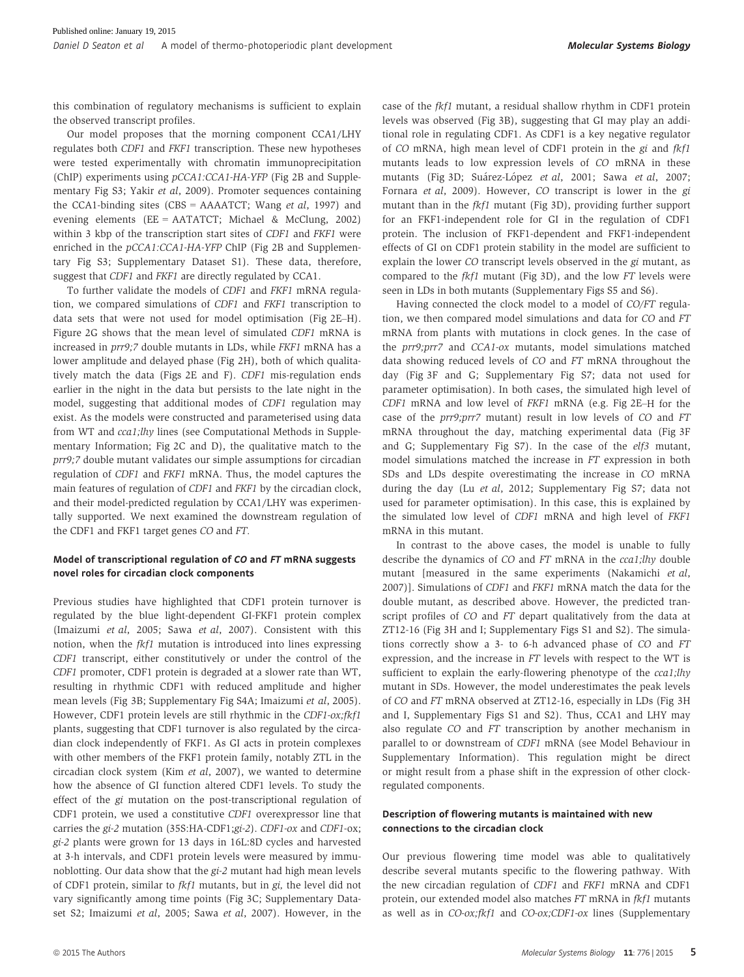this combination of regulatory mechanisms is sufficient to explain the observed transcript profiles.

Our model proposes that the morning component CCA1/LHY regulates both CDF1 and FKF1 transcription. These new hypotheses were tested experimentally with chromatin immunoprecipitation (ChIP) experiments using pCCA1:CCA1-HA-YFP (Fig 2B and Supplementary Fig S3; Yakir et al, 2009). Promoter sequences containing the CCA1-binding sites (CBS = AAAATCT; Wang et al, 1997) and evening elements (EE = AATATCT; Michael & McClung, 2002) within 3 kbp of the transcription start sites of CDF1 and FKF1 were enriched in the  $pCCA1:CCA1-HA-YFP ChIP$  (Fig 2B and Supplementary Fig S3; Supplementary Dataset S1). These data, therefore, suggest that CDF1 and FKF1 are directly regulated by CCA1.

To further validate the models of CDF1 and FKF1 mRNA regulation, we compared simulations of CDF1 and FKF1 transcription to data sets that were not used for model optimisation (Fig 2E–H). Figure 2G shows that the mean level of simulated CDF1 mRNA is increased in prr9;7 double mutants in LDs, while FKF1 mRNA has a lower amplitude and delayed phase (Fig 2H), both of which qualitatively match the data (Figs 2E and F). CDF1 mis-regulation ends earlier in the night in the data but persists to the late night in the model, suggesting that additional modes of CDF1 regulation may exist. As the models were constructed and parameterised using data from WT and cca1;lhy lines (see Computational Methods in Supplementary Information; Fig 2C and D), the qualitative match to the prr9;7 double mutant validates our simple assumptions for circadian regulation of CDF1 and FKF1 mRNA. Thus, the model captures the main features of regulation of CDF1 and FKF1 by the circadian clock, and their model-predicted regulation by CCA1/LHY was experimentally supported. We next examined the downstream regulation of the CDF1 and FKF1 target genes CO and FT.

### Model of transcriptional regulation of CO and FT mRNA suggests novel roles for circadian clock components

Previous studies have highlighted that CDF1 protein turnover is regulated by the blue light-dependent GI-FKF1 protein complex (Imaizumi et al, 2005; Sawa et al, 2007). Consistent with this notion, when the  $fkf1$  mutation is introduced into lines expressing CDF1 transcript, either constitutively or under the control of the CDF1 promoter, CDF1 protein is degraded at a slower rate than WT, resulting in rhythmic CDF1 with reduced amplitude and higher mean levels (Fig 3B; Supplementary Fig S4A; Imaizumi et al, 2005). However, CDF1 protein levels are still rhythmic in the CDF1-ox;fkf1 plants, suggesting that CDF1 turnover is also regulated by the circadian clock independently of FKF1. As GI acts in protein complexes with other members of the FKF1 protein family, notably ZTL in the circadian clock system (Kim et al, 2007), we wanted to determine how the absence of GI function altered CDF1 levels. To study the effect of the gi mutation on the post-transcriptional regulation of CDF1 protein, we used a constitutive CDF1 overexpressor line that carries the gi-2 mutation (35S:HA-CDF1;gi-2). CDF1-ox and CDF1-ox; gi-2 plants were grown for 13 days in 16L:8D cycles and harvested at 3-h intervals, and CDF1 protein levels were measured by immunoblotting. Our data show that the gi-2 mutant had high mean levels of CDF1 protein, similar to fkf1 mutants, but in gi, the level did not vary significantly among time points (Fig 3C; Supplementary Dataset S2; Imaizumi et al, 2005; Sawa et al, 2007). However, in the case of the fkf1 mutant, a residual shallow rhythm in CDF1 protein levels was observed (Fig 3B), suggesting that GI may play an additional role in regulating CDF1. As CDF1 is a key negative regulator of CO mRNA, high mean level of CDF1 protein in the gi and fkf1 mutants leads to low expression levels of CO mRNA in these mutants (Fig 3D; Suárez-López et al, 2001; Sawa et al, 2007; Fornara et al, 2009). However, CO transcript is lower in the gi mutant than in the fkf1 mutant (Fig 3D), providing further support for an FKF1-independent role for GI in the regulation of CDF1 protein. The inclusion of FKF1-dependent and FKF1-independent effects of GI on CDF1 protein stability in the model are sufficient to explain the lower CO transcript levels observed in the gi mutant, as compared to the fkf1 mutant (Fig 3D), and the low FT levels were seen in LDs in both mutants (Supplementary Figs S5 and S6).

Having connected the clock model to a model of CO/FT regulation, we then compared model simulations and data for CO and FT mRNA from plants with mutations in clock genes. In the case of the prr9;prr7 and CCA1-ox mutants, model simulations matched data showing reduced levels of CO and FT mRNA throughout the day (Fig 3F and G; Supplementary Fig S7; data not used for parameter optimisation). In both cases, the simulated high level of CDF1 mRNA and low level of FKF1 mRNA (e.g. Fig 2E–H for the case of the prr9;prr7 mutant) result in low levels of CO and FT mRNA throughout the day, matching experimental data (Fig 3F and G; Supplementary Fig S7). In the case of the elf3 mutant, model simulations matched the increase in FT expression in both SDs and LDs despite overestimating the increase in CO mRNA during the day (Lu et al, 2012; Supplementary Fig S7; data not used for parameter optimisation). In this case, this is explained by the simulated low level of CDF1 mRNA and high level of FKF1 mRNA in this mutant.

In contrast to the above cases, the model is unable to fully describe the dynamics of CO and FT mRNA in the cca1;lhy double mutant [measured in the same experiments (Nakamichi et al, 2007)]. Simulations of CDF1 and FKF1 mRNA match the data for the double mutant, as described above. However, the predicted transcript profiles of CO and FT depart qualitatively from the data at ZT12-16 (Fig 3H and I; Supplementary Figs S1 and S2). The simulations correctly show a 3- to 6-h advanced phase of CO and FT expression, and the increase in FT levels with respect to the WT is sufficient to explain the early-flowering phenotype of the cca1;lhy mutant in SDs. However, the model underestimates the peak levels of CO and FT mRNA observed at ZT12-16, especially in LDs (Fig 3H and I, Supplementary Figs S1 and S2). Thus, CCA1 and LHY may also regulate CO and FT transcription by another mechanism in parallel to or downstream of CDF1 mRNA (see Model Behaviour in Supplementary Information). This regulation might be direct or might result from a phase shift in the expression of other clockregulated components.

### Description of flowering mutants is maintained with new connections to the circadian clock

Our previous flowering time model was able to qualitatively describe several mutants specific to the flowering pathway. With the new circadian regulation of CDF1 and FKF1 mRNA and CDF1 protein, our extended model also matches FT mRNA in fkf1 mutants as well as in CO-ox;fkf1 and CO-ox;CDF1-ox lines (Supplementary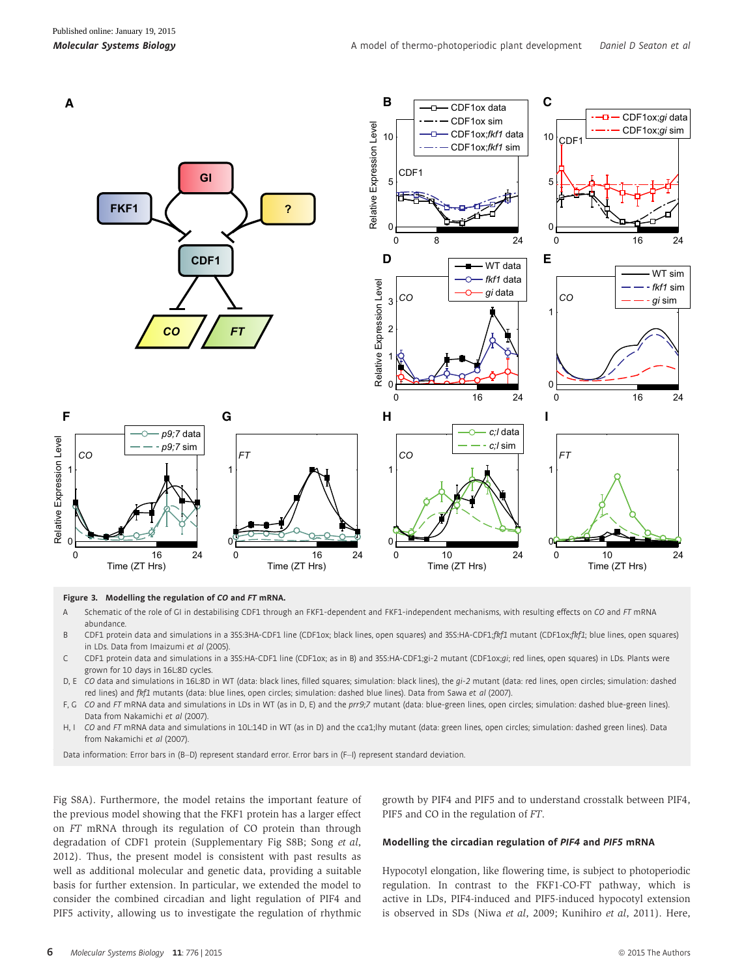

# **Figure 3. Modelling the regulation of CO and FT mRNA.**<br>A Schematic of the role of GL in destabilising CDF1 throus

- Schematic of the role of GI in destabilising CDF1 through an FKF1-dependent and FKF1-independent mechanisms, with resulting effects on CO and FT mRNA abundance.
- B CDF1 protein data and simulations in a 35S:3HA-CDF1 line (CDF1ox; black lines, open squares) and 35S:HA-CDF1;fkf1 mutant (CDF1ox;fkf1; blue lines, open squares) in LDs. Data from Imaizumi et al (2005).
- C CDF1 protein data and simulations in a 35S:HA-CDF1 line (CDF1ox; as in B) and 35S:HA-CDF1;gi-2 mutant (CDF1ox;gi; red lines, open squares) in LDs. Plants were grown for 10 days in 16L:8D cycles.
- D, E CO data and simulations in 16L:8D in WT (data: black lines, filled squares; simulation: black lines), the gi-2 mutant (data: red lines, open circles; simulation: dashed red lines) and fkf1 mutants (data: blue lines, open circles; simulation: dashed blue lines). Data from Sawa et al (2007).
- F, G CO and FT mRNA data and simulations in LDs in WT (as in D, E) and the prr9;7 mutant (data: blue-green lines, open circles; simulation: dashed blue-green lines). Data from Nakamichi et al (2007).
- H, I CO and FT mRNA data and simulations in 10L:14D in WT (as in D) and the cca1;lhy mutant (data: green lines, open circles; simulation: dashed green lines). Data from Nakamichi et al (2007).

Data information: Error bars in (B-D) represent standard error. Error bars in (F-I) represent standard deviation.

Fig S8A). Furthermore, the model retains the important feature of the previous model showing that the FKF1 protein has a larger effect on FT mRNA through its regulation of CO protein than through degradation of CDF1 protein (Supplementary Fig S8B; Song et al, 2012). Thus, the present model is consistent with past results as well as additional molecular and genetic data, providing a suitable basis for further extension. In particular, we extended the model to consider the combined circadian and light regulation of PIF4 and PIF5 activity, allowing us to investigate the regulation of rhythmic

growth by PIF4 and PIF5 and to understand crosstalk between PIF4, PIF5 and CO in the regulation of FT.

#### Modelling the circadian regulation of PIF<sup>4</sup> and PIF<sup>5</sup> mRNA

Hypocotyl elongation, like flowering time, is subject to photoperiodic regulation. In contrast to the FKF1-CO-FT pathway, which is active in LDs, PIF4-induced and PIF5-induced hypocotyl extension is observed in SDs (Niwa et al, 2009; Kunihiro et al, 2011). Here,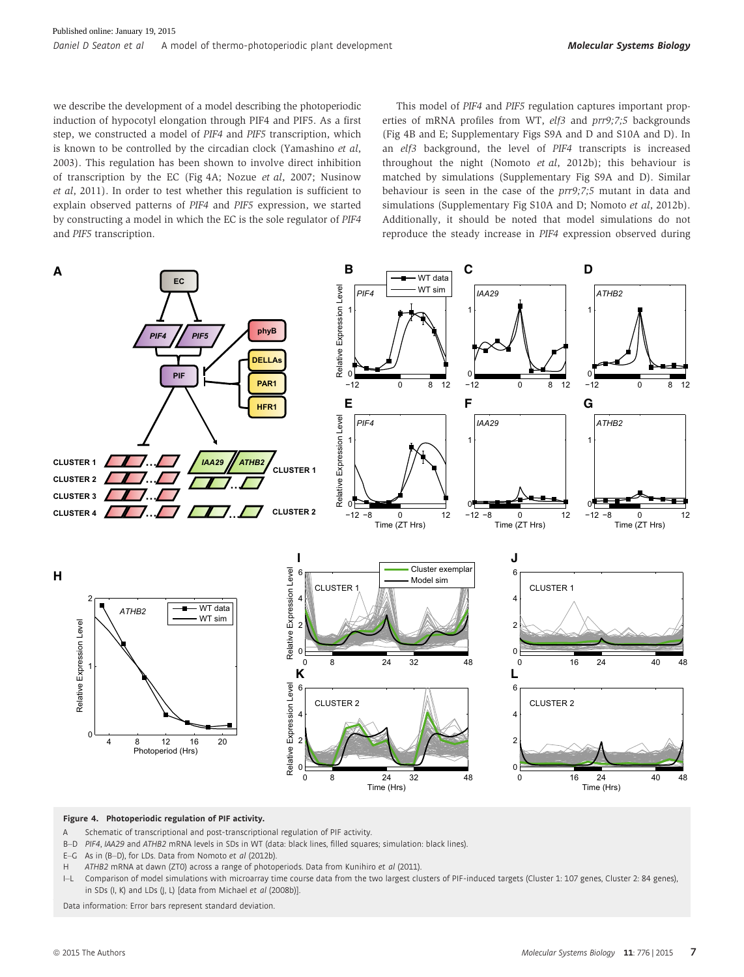we describe the development of a model describing the photoperiodic induction of hypocotyl elongation through PIF4 and PIF5. As a first step, we constructed a model of PIF4 and PIF5 transcription, which is known to be controlled by the circadian clock (Yamashino et al, 2003). This regulation has been shown to involve direct inhibition of transcription by the EC (Fig 4A; Nozue et al, 2007; Nusinow et al, 2011). In order to test whether this regulation is sufficient to explain observed patterns of PIF4 and PIF5 expression, we started by constructing a model in which the EC is the sole regulator of PIF4 and PIF5 transcription.

This model of PIF4 and PIF5 regulation captures important properties of mRNA profiles from WT, elf3 and prr9;7;5 backgrounds (Fig 4B and E; Supplementary Figs S9A and D and S10A and D). In an elf3 background, the level of PIF4 transcripts is increased throughout the night (Nomoto et al, 2012b); this behaviour is matched by simulations (Supplementary Fig S9A and D). Similar behaviour is seen in the case of the prr9;7;5 mutant in data and simulations (Supplementary Fig S10A and D; Nomoto et al, 2012b). Additionally, it should be noted that model simulations do not reproduce the steady increase in PIF4 expression observed during



#### Figure 4. Photoperiodic regulation of PIF activity.

- A Schematic of transcriptional and post-transcriptional regulation of PIF activity.
- B-D PIF4, IAA29 and ATHB2 mRNA levels in SDs in WT (data: black lines, filled squares; simulation: black lines).
- E–G As in (B–D), for LDs. Data from Nomoto et al (2012b).
- H ATHB2 mRNA at dawn (ZTO) across a range of photoperiods. Data from Kunihiro et al (2011).
- I–L Comparison of model simulations with microarray time course data from the two largest clusters of PIF-induced targets (Cluster 1: 107 genes, Cluster 2: 84 genes), in SDs (I, K) and LDs (J, L) [data from Michael et al (2008b)]

Data information: Error bars represent standard deviation.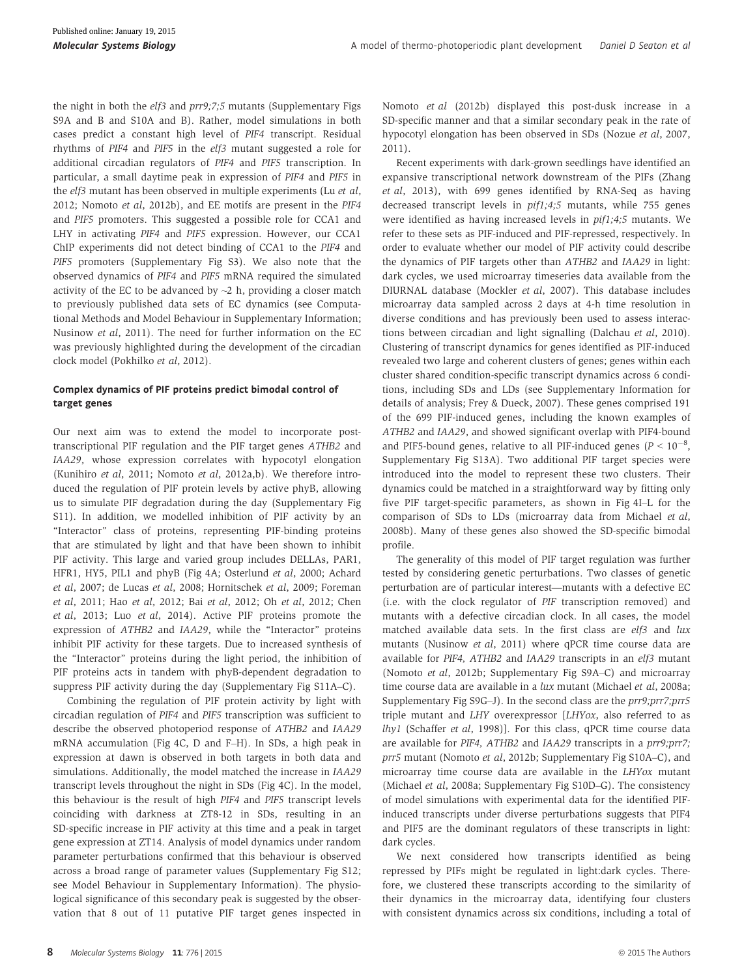the night in both the elf3 and prr9;7;5 mutants (Supplementary Figs S9A and B and S10A and B). Rather, model simulations in both cases predict a constant high level of PIF4 transcript. Residual rhythms of PIF4 and PIF5 in the elf3 mutant suggested a role for additional circadian regulators of PIF4 and PIF5 transcription. In particular, a small daytime peak in expression of PIF4 and PIF5 in the elf3 mutant has been observed in multiple experiments (Lu et al, 2012; Nomoto et al, 2012b), and EE motifs are present in the PIF4 and PIF5 promoters. This suggested a possible role for CCA1 and LHY in activating PIF4 and PIF5 expression. However, our CCA1 ChIP experiments did not detect binding of CCA1 to the PIF4 and PIF5 promoters (Supplementary Fig S3). We also note that the observed dynamics of PIF4 and PIF5 mRNA required the simulated activity of the EC to be advanced by  $\sim$ 2 h, providing a closer match to previously published data sets of EC dynamics (see Computational Methods and Model Behaviour in Supplementary Information; Nusinow et al, 2011). The need for further information on the EC was previously highlighted during the development of the circadian clock model (Pokhilko et al, 2012).

### Complex dynamics of PIF proteins predict bimodal control of target genes

Our next aim was to extend the model to incorporate posttranscriptional PIF regulation and the PIF target genes ATHB2 and IAA29, whose expression correlates with hypocotyl elongation (Kunihiro et al, 2011; Nomoto et al, 2012a,b). We therefore introduced the regulation of PIF protein levels by active phyB, allowing us to simulate PIF degradation during the day (Supplementary Fig S11). In addition, we modelled inhibition of PIF activity by an "Interactor" class of proteins, representing PIF-binding proteins that are stimulated by light and that have been shown to inhibit PIF activity. This large and varied group includes DELLAs, PAR1, HFR1, HY5, PIL1 and phyB (Fig 4A; Osterlund et al, 2000; Achard et al, 2007; de Lucas et al, 2008; Hornitschek et al, 2009; Foreman et al, 2011; Hao et al, 2012; Bai et al, 2012; Oh et al, 2012; Chen et al, 2013; Luo et al, 2014). Active PIF proteins promote the expression of ATHB2 and IAA29, while the "Interactor" proteins inhibit PIF activity for these targets. Due to increased synthesis of the "Interactor" proteins during the light period, the inhibition of PIF proteins acts in tandem with phyB-dependent degradation to suppress PIF activity during the day (Supplementary Fig S11A–C).

Combining the regulation of PIF protein activity by light with circadian regulation of PIF4 and PIF5 transcription was sufficient to describe the observed photoperiod response of ATHB2 and IAA29 mRNA accumulation (Fig 4C, D and F–H). In SDs, a high peak in expression at dawn is observed in both targets in both data and simulations. Additionally, the model matched the increase in IAA29 transcript levels throughout the night in SDs (Fig 4C). In the model, this behaviour is the result of high PIF4 and PIF5 transcript levels coinciding with darkness at ZT8-12 in SDs, resulting in an SD-specific increase in PIF activity at this time and a peak in target gene expression at ZT14. Analysis of model dynamics under random parameter perturbations confirmed that this behaviour is observed across a broad range of parameter values (Supplementary Fig S12; see Model Behaviour in Supplementary Information). The physiological significance of this secondary peak is suggested by the observation that 8 out of 11 putative PIF target genes inspected in Nomoto et al (2012b) displayed this post-dusk increase in a SD-specific manner and that a similar secondary peak in the rate of hypocotyl elongation has been observed in SDs (Nozue et al, 2007, 2011).

Recent experiments with dark-grown seedlings have identified an expansive transcriptional network downstream of the PIFs (Zhang et al, 2013), with 699 genes identified by RNA-Seq as having decreased transcript levels in pif1;4;5 mutants, while 755 genes were identified as having increased levels in pif1;4;5 mutants. We refer to these sets as PIF-induced and PIF-repressed, respectively. In order to evaluate whether our model of PIF activity could describe the dynamics of PIF targets other than ATHB2 and IAA29 in light: dark cycles, we used microarray timeseries data available from the DIURNAL database (Mockler et al, 2007). This database includes microarray data sampled across 2 days at 4-h time resolution in diverse conditions and has previously been used to assess interactions between circadian and light signalling (Dalchau et al, 2010). Clustering of transcript dynamics for genes identified as PIF-induced revealed two large and coherent clusters of genes; genes within each cluster shared condition-specific transcript dynamics across 6 conditions, including SDs and LDs (see Supplementary Information for details of analysis; Frey & Dueck, 2007). These genes comprised 191 of the 699 PIF-induced genes, including the known examples of ATHB2 and IAA29, and showed significant overlap with PIF4-bound and PIF5-bound genes, relative to all PIF-induced genes ( $P < 10^{-8}$ , Supplementary Fig S13A). Two additional PIF target species were introduced into the model to represent these two clusters. Their dynamics could be matched in a straightforward way by fitting only five PIF target-specific parameters, as shown in Fig 4I–L for the comparison of SDs to LDs (microarray data from Michael et al, 2008b). Many of these genes also showed the SD-specific bimodal profile.

The generality of this model of PIF target regulation was further tested by considering genetic perturbations. Two classes of genetic perturbation are of particular interest—mutants with a defective EC (i.e. with the clock regulator of PIF transcription removed) and mutants with a defective circadian clock. In all cases, the model matched available data sets. In the first class are elf3 and lux mutants (Nusinow et al, 2011) where qPCR time course data are available for PIF4, ATHB2 and IAA29 transcripts in an elf3 mutant (Nomoto et al, 2012b; Supplementary Fig S9A–C) and microarray time course data are available in a lux mutant (Michael et al, 2008a; Supplementary Fig S9G–J). In the second class are the prr9;prr7;prr5 triple mutant and LHY overexpressor [LHYox, also referred to as  $l h v1$  (Schaffer et al, 1998)]. For this class, qPCR time course data are available for PIF4, ATHB2 and IAA29 transcripts in a prr9;prr7; prr5 mutant (Nomoto et al, 2012b; Supplementary Fig S10A–C), and microarray time course data are available in the LHYox mutant (Michael et al, 2008a; Supplementary Fig S10D–G). The consistency of model simulations with experimental data for the identified PIFinduced transcripts under diverse perturbations suggests that PIF4 and PIF5 are the dominant regulators of these transcripts in light: dark cycles.

We next considered how transcripts identified as being repressed by PIFs might be regulated in light:dark cycles. Therefore, we clustered these transcripts according to the similarity of their dynamics in the microarray data, identifying four clusters with consistent dynamics across six conditions, including a total of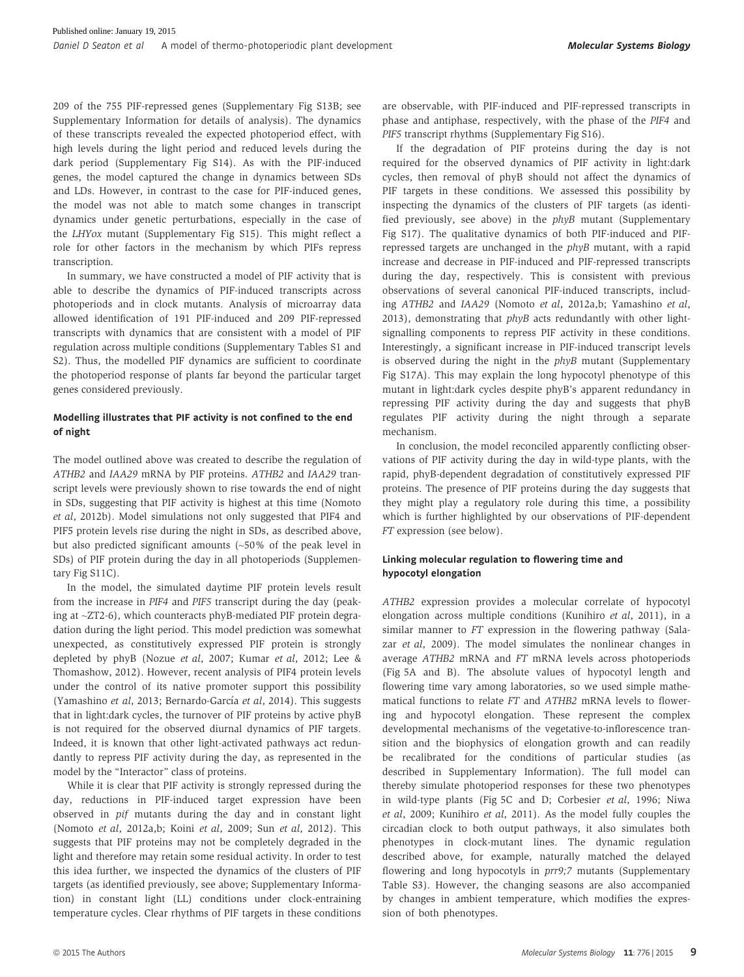209 of the 755 PIF-repressed genes (Supplementary Fig S13B; see Supplementary Information for details of analysis). The dynamics of these transcripts revealed the expected photoperiod effect, with high levels during the light period and reduced levels during the dark period (Supplementary Fig S14). As with the PIF-induced genes, the model captured the change in dynamics between SDs and LDs. However, in contrast to the case for PIF-induced genes, the model was not able to match some changes in transcript dynamics under genetic perturbations, especially in the case of the LHYox mutant (Supplementary Fig S15). This might reflect a role for other factors in the mechanism by which PIFs repress transcription.

In summary, we have constructed a model of PIF activity that is able to describe the dynamics of PIF-induced transcripts across photoperiods and in clock mutants. Analysis of microarray data allowed identification of 191 PIF-induced and 209 PIF-repressed transcripts with dynamics that are consistent with a model of PIF regulation across multiple conditions (Supplementary Tables S1 and S2). Thus, the modelled PIF dynamics are sufficient to coordinate the photoperiod response of plants far beyond the particular target genes considered previously.

### Modelling illustrates that PIF activity is not confined to the end of night

The model outlined above was created to describe the regulation of ATHB2 and IAA29 mRNA by PIF proteins. ATHB2 and IAA29 transcript levels were previously shown to rise towards the end of night in SDs, suggesting that PIF activity is highest at this time (Nomoto et al, 2012b). Model simulations not only suggested that PIF4 and PIF5 protein levels rise during the night in SDs, as described above, but also predicted significant amounts (~50% of the peak level in SDs) of PIF protein during the day in all photoperiods (Supplementary Fig S11C).

In the model, the simulated daytime PIF protein levels result from the increase in PIF4 and PIF5 transcript during the day (peaking at ~ZT2-6), which counteracts phyB-mediated PIF protein degradation during the light period. This model prediction was somewhat unexpected, as constitutively expressed PIF protein is strongly depleted by phyB (Nozue et al, 2007; Kumar et al, 2012; Lee & Thomashow, 2012). However, recent analysis of PIF4 protein levels under the control of its native promoter support this possibility (Yamashino et al, 2013; Bernardo-García et al, 2014). This suggests that in light:dark cycles, the turnover of PIF proteins by active phyB is not required for the observed diurnal dynamics of PIF targets. Indeed, it is known that other light-activated pathways act redundantly to repress PIF activity during the day, as represented in the model by the "Interactor" class of proteins.

While it is clear that PIF activity is strongly repressed during the day, reductions in PIF-induced target expression have been observed in pif mutants during the day and in constant light (Nomoto et al, 2012a,b; Koini et al, 2009; Sun et al, 2012). This suggests that PIF proteins may not be completely degraded in the light and therefore may retain some residual activity. In order to test this idea further, we inspected the dynamics of the clusters of PIF targets (as identified previously, see above; Supplementary Information) in constant light (LL) conditions under clock-entraining temperature cycles. Clear rhythms of PIF targets in these conditions are observable, with PIF-induced and PIF-repressed transcripts in phase and antiphase, respectively, with the phase of the PIF4 and PIF5 transcript rhythms (Supplementary Fig S16).

If the degradation of PIF proteins during the day is not required for the observed dynamics of PIF activity in light:dark cycles, then removal of phyB should not affect the dynamics of PIF targets in these conditions. We assessed this possibility by inspecting the dynamics of the clusters of PIF targets (as identified previously, see above) in the phyB mutant (Supplementary Fig S17). The qualitative dynamics of both PIF-induced and PIFrepressed targets are unchanged in the phyB mutant, with a rapid increase and decrease in PIF-induced and PIF-repressed transcripts during the day, respectively. This is consistent with previous observations of several canonical PIF-induced transcripts, including ATHB2 and IAA29 (Nomoto et al, 2012a,b; Yamashino et al, 2013), demonstrating that phyB acts redundantly with other lightsignalling components to repress PIF activity in these conditions. Interestingly, a significant increase in PIF-induced transcript levels is observed during the night in the phyB mutant (Supplementary Fig S17A). This may explain the long hypocotyl phenotype of this mutant in light:dark cycles despite phyB's apparent redundancy in repressing PIF activity during the day and suggests that phyB regulates PIF activity during the night through a separate mechanism.

In conclusion, the model reconciled apparently conflicting observations of PIF activity during the day in wild-type plants, with the rapid, phyB-dependent degradation of constitutively expressed PIF proteins. The presence of PIF proteins during the day suggests that they might play a regulatory role during this time, a possibility which is further highlighted by our observations of PIF-dependent FT expression (see below).

# Linking molecular regulation to flowering time and hypocotyl elongation

ATHB2 expression provides a molecular correlate of hypocotyl elongation across multiple conditions (Kunihiro et al, 2011), in a similar manner to FT expression in the flowering pathway (Salazar et al, 2009). The model simulates the nonlinear changes in average ATHB2 mRNA and FT mRNA levels across photoperiods (Fig 5A and B). The absolute values of hypocotyl length and flowering time vary among laboratories, so we used simple mathematical functions to relate FT and ATHB2 mRNA levels to flowering and hypocotyl elongation. These represent the complex developmental mechanisms of the vegetative-to-inflorescence transition and the biophysics of elongation growth and can readily be recalibrated for the conditions of particular studies (as described in Supplementary Information). The full model can thereby simulate photoperiod responses for these two phenotypes in wild-type plants (Fig 5C and D; Corbesier et al, 1996; Niwa et al, 2009; Kunihiro et al, 2011). As the model fully couples the circadian clock to both output pathways, it also simulates both phenotypes in clock-mutant lines. The dynamic regulation described above, for example, naturally matched the delayed flowering and long hypocotyls in prr9;7 mutants (Supplementary Table S3). However, the changing seasons are also accompanied by changes in ambient temperature, which modifies the expression of both phenotypes.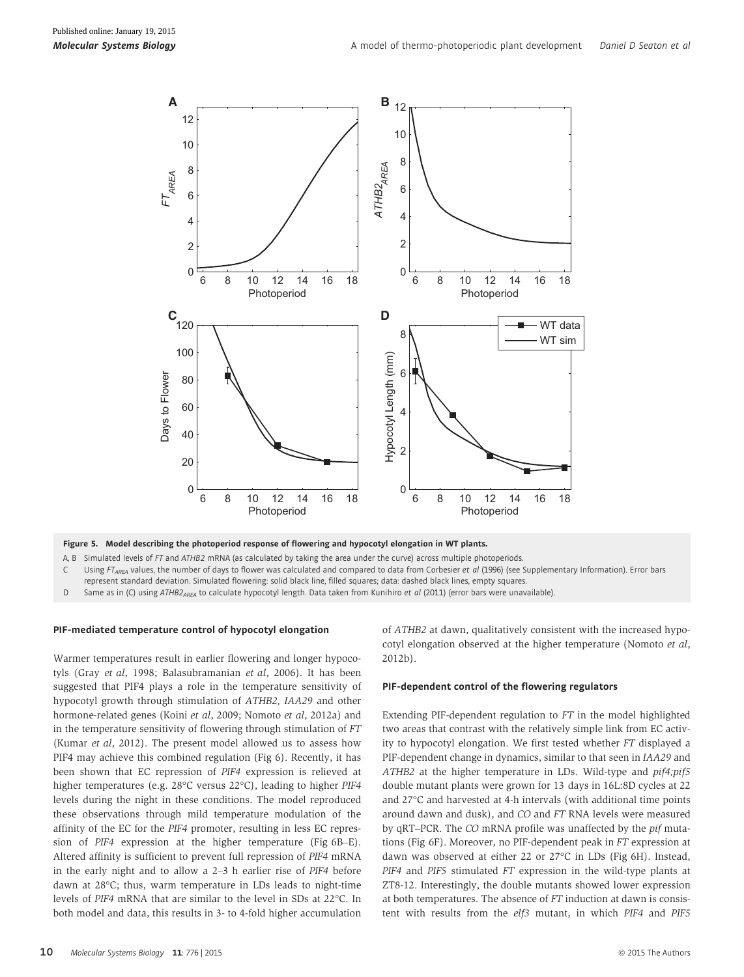

Figure 5. Model describing the photoperiod response of flowering and hypocotyl elongation in WT plants.

A, B Simulated levels of FT and ATHB2 mRNA (as calculated by taking the area under the curve) across multiple photoperiods.

C Using FT<sub>AREA</sub> values, the number of days to flower was calculated and compared to data from Corbesier et al (1996) (see Supplementary Information). Error bars represent standard deviation. Simulated flowering: solid black line, filled squares; data: dashed black lines, empty squares.

D Same as in (C) using ATHB2<sub>AREA</sub> to calculate hypocotyl length. Data taken from Kunihiro et al (2011) (error bars were unavailable).

#### PIF-mediated temperature control of hypocotyl elongation

Warmer temperatures result in earlier flowering and longer hypocotyls (Gray et al, 1998; Balasubramanian et al, 2006). It has been suggested that PIF4 plays a role in the temperature sensitivity of hypocotyl growth through stimulation of ATHB2, IAA29 and other hormone-related genes (Koini et al, 2009; Nomoto et al, 2012a) and in the temperature sensitivity of flowering through stimulation of FT (Kumar et al, 2012). The present model allowed us to assess how PIF4 may achieve this combined regulation (Fig 6). Recently, it has been shown that EC repression of PIF4 expression is relieved at higher temperatures (e.g. 28°C versus 22°C), leading to higher PIF4 levels during the night in these conditions. The model reproduced these observations through mild temperature modulation of the affinity of the EC for the PIF4 promoter, resulting in less EC repression of PIF4 expression at the higher temperature (Fig 6B–E). Altered affinity is sufficient to prevent full repression of PIF4 mRNA in the early night and to allow a 2–3 h earlier rise of PIF4 before dawn at 28°C; thus, warm temperature in LDs leads to night-time levels of PIF4 mRNA that are similar to the level in SDs at 22°C. In both model and data, this results in 3- to 4-fold higher accumulation of ATHB2 at dawn, qualitatively consistent with the increased hypocotyl elongation observed at the higher temperature (Nomoto et al, 2012b).

### PIF-dependent control of the flowering regulators

Extending PIF-dependent regulation to FT in the model highlighted two areas that contrast with the relatively simple link from EC activity to hypocotyl elongation. We first tested whether FT displayed a PIF-dependent change in dynamics, similar to that seen in IAA29 and ATHB2 at the higher temperature in LDs. Wild-type and pif4;pif5 double mutant plants were grown for 13 days in 16L:8D cycles at 22 and 27°C and harvested at 4-h intervals (with additional time points around dawn and dusk), and CO and FT RNA levels were measured by qRT–PCR. The CO mRNA profile was unaffected by the pif mutations (Fig 6F). Moreover, no PIF-dependent peak in FT expression at dawn was observed at either 22 or 27°C in LDs (Fig 6H). Instead, PIF4 and PIF5 stimulated FT expression in the wild-type plants at ZT8-12. Interestingly, the double mutants showed lower expression at both temperatures. The absence of FT induction at dawn is consistent with results from the elf3 mutant, in which PIF4 and PIF5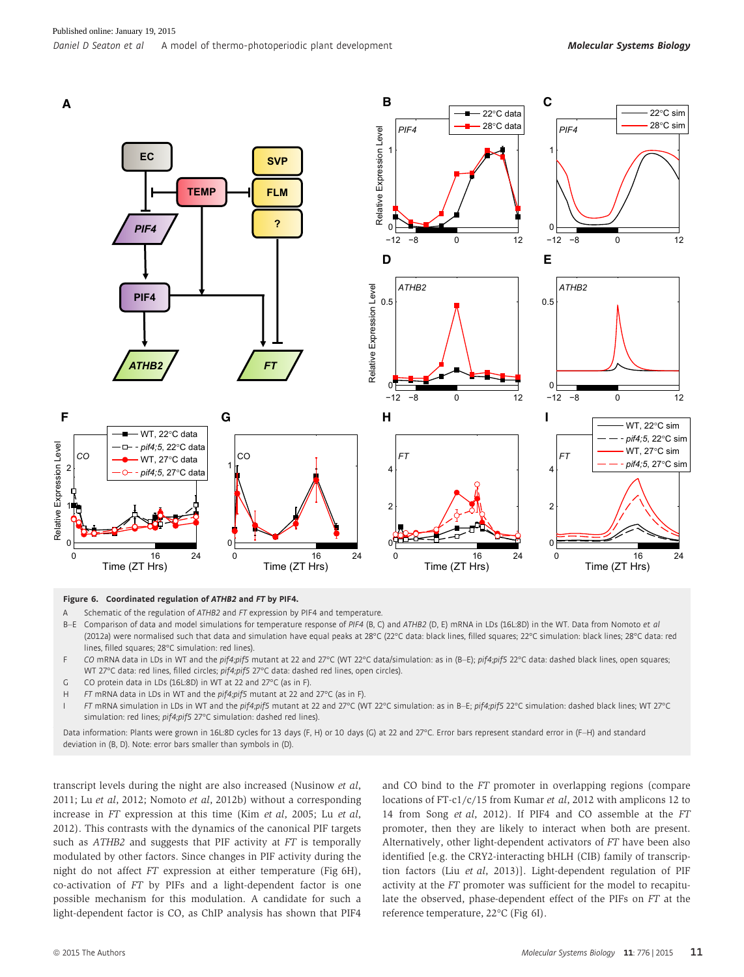

# **Figure 6. Coordinated regulation of ATHB2 and FT by PIF4.**<br>A Schematic of the regulation of  $ATHB2$  and FT expression by

Schematic of the regulation of ATHB2 and FT expression by PIF4 and temperature.

B-E Comparison of data and model simulations for temperature response of PIF4 (B, C) and ATHB2 (D, E) mRNA in LDs (16L:8D) in the WT. Data from Nomoto et al (2012a) were normalised such that data and simulation have equal peaks at 28°C (22°C data: black lines, filled squares; 22°C simulation: black lines; 28°C data: red lines, filled squares; 28°C simulation: red lines).

- F CO mRNA data in LDs in WT and the pif4;pif5 mutant at 22 and 27°C (WT 22°C data/simulation: as in (B-E); pif4;pif5 22°C data: dashed black lines, open squares; WT 27°C data: red lines, filled circles; pif4;pif5 27°C data: dashed red lines, open circles).
- G CO protein data in LDs (16L:8D) in WT at 22 and 27°C (as in F).
- H FT mRNA data in LDs in WT and the pif4;pif5 mutant at 22 and 27°C (as in F).
- FT mRNA simulation in LDs in WT and the pif4;pif5 mutant at 22 and 27°C (WT 22°C simulation: as in B-E; pif4;pif5 22°C simulation: dashed black lines; WT 27°C simulation: red lines; pif4;pif5 27°C simulation: dashed red lines).

Data information: Plants were grown in 16L:8D cycles for 13 days (F, H) or 10 days (G) at 22 and 27°C. Error bars represent standard error in (F–H) and standard deviation in (B, D). Note: error bars smaller than symbols in (D).

transcript levels during the night are also increased (Nusinow et al, 2011; Lu et al, 2012; Nomoto et al, 2012b) without a corresponding increase in FT expression at this time (Kim et al, 2005; Lu et al, 2012). This contrasts with the dynamics of the canonical PIF targets such as ATHB2 and suggests that PIF activity at FT is temporally modulated by other factors. Since changes in PIF activity during the night do not affect FT expression at either temperature (Fig 6H), co-activation of FT by PIFs and a light-dependent factor is one possible mechanism for this modulation. A candidate for such a light-dependent factor is CO, as ChIP analysis has shown that PIF4 and CO bind to the FT promoter in overlapping regions (compare locations of FT-c1/c/15 from Kumar et al, 2012 with amplicons 12 to 14 from Song et al, 2012). If PIF4 and CO assemble at the FT promoter, then they are likely to interact when both are present. Alternatively, other light-dependent activators of FT have been also identified [e.g. the CRY2-interacting bHLH (CIB) family of transcription factors (Liu et al, 2013)]. Light-dependent regulation of PIF activity at the FT promoter was sufficient for the model to recapitulate the observed, phase-dependent effect of the PIFs on FT at the reference temperature, 22°C (Fig 6I).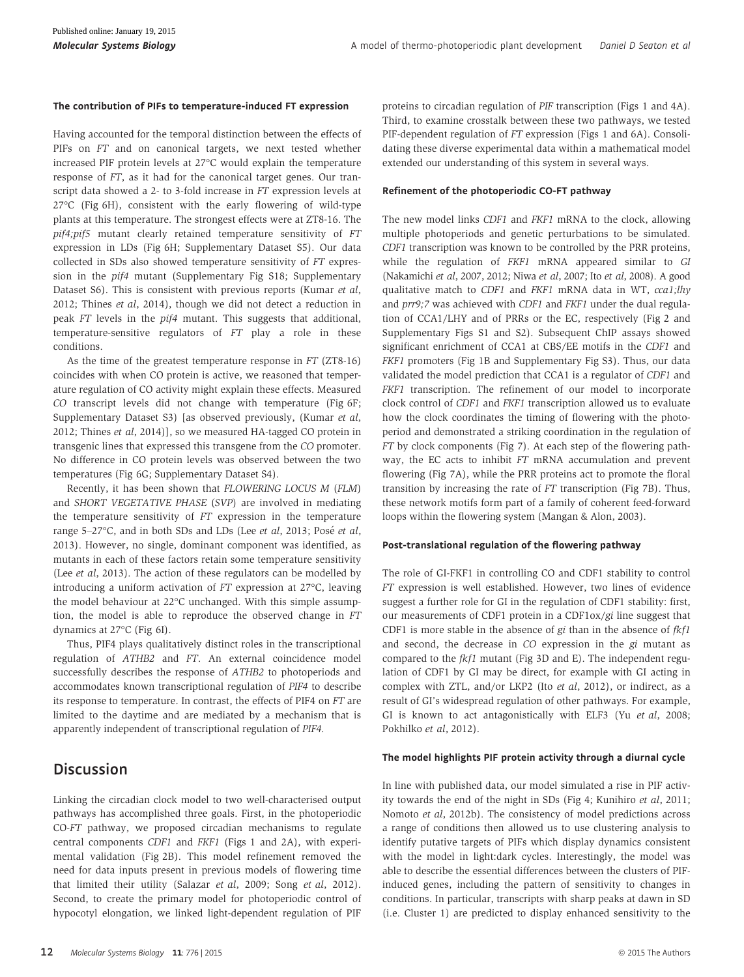#### The contribution of PIFs to temperature-induced FT expression

Having accounted for the temporal distinction between the effects of PIFs on FT and on canonical targets, we next tested whether increased PIF protein levels at 27°C would explain the temperature response of FT, as it had for the canonical target genes. Our transcript data showed a 2- to 3-fold increase in FT expression levels at 27°C (Fig 6H), consistent with the early flowering of wild-type plants at this temperature. The strongest effects were at ZT8-16. The pif4;pif5 mutant clearly retained temperature sensitivity of FT expression in LDs (Fig 6H; Supplementary Dataset S5). Our data collected in SDs also showed temperature sensitivity of FT expression in the pif4 mutant (Supplementary Fig S18; Supplementary Dataset S6). This is consistent with previous reports (Kumar et al, 2012; Thines et al, 2014), though we did not detect a reduction in peak FT levels in the pif4 mutant. This suggests that additional, temperature-sensitive regulators of FT play a role in these conditions.

As the time of the greatest temperature response in FT (ZT8-16) coincides with when CO protein is active, we reasoned that temperature regulation of CO activity might explain these effects. Measured CO transcript levels did not change with temperature (Fig 6F; Supplementary Dataset S3) [as observed previously, (Kumar et al, 2012; Thines et al, 2014)], so we measured HA-tagged CO protein in transgenic lines that expressed this transgene from the CO promoter. No difference in CO protein levels was observed between the two temperatures (Fig 6G; Supplementary Dataset S4).

Recently, it has been shown that FLOWERING LOCUS M (FLM) and SHORT VEGETATIVE PHASE (SVP) are involved in mediating the temperature sensitivity of FT expression in the temperature range 5-27°C, and in both SDs and LDs (Lee et al, 2013; Posé et al, 2013). However, no single, dominant component was identified, as mutants in each of these factors retain some temperature sensitivity (Lee *et al*, 2013). The action of these regulators can be modelled by introducing a uniform activation of FT expression at 27°C, leaving the model behaviour at 22°C unchanged. With this simple assumption, the model is able to reproduce the observed change in FT dynamics at 27°C (Fig 6I).

Thus, PIF4 plays qualitatively distinct roles in the transcriptional regulation of ATHB2 and FT. An external coincidence model successfully describes the response of ATHB2 to photoperiods and accommodates known transcriptional regulation of PIF4 to describe its response to temperature. In contrast, the effects of PIF4 on FT are limited to the daytime and are mediated by a mechanism that is apparently independent of transcriptional regulation of PIF4.

# **Discussion**

Linking the circadian clock model to two well-characterised output pathways has accomplished three goals. First, in the photoperiodic CO-FT pathway, we proposed circadian mechanisms to regulate central components CDF1 and FKF1 (Figs 1 and 2A), with experimental validation (Fig 2B). This model refinement removed the need for data inputs present in previous models of flowering time that limited their utility (Salazar et al, 2009; Song et al, 2012). Second, to create the primary model for photoperiodic control of hypocotyl elongation, we linked light-dependent regulation of PIF proteins to circadian regulation of PIF transcription (Figs 1 and 4A). Third, to examine crosstalk between these two pathways, we tested PIF-dependent regulation of FT expression (Figs 1 and 6A). Consolidating these diverse experimental data within a mathematical model extended our understanding of this system in several ways.

### Refinement of the photoperiodic CO-FT pathway

The new model links CDF1 and FKF1 mRNA to the clock, allowing multiple photoperiods and genetic perturbations to be simulated. CDF1 transcription was known to be controlled by the PRR proteins, while the regulation of FKF1 mRNA appeared similar to GI (Nakamichi et al, 2007, 2012; Niwa et al, 2007; Ito et al, 2008). A good qualitative match to CDF1 and FKF1 mRNA data in WT, cca1;lhy and prr9;7 was achieved with CDF1 and FKF1 under the dual regulation of CCA1/LHY and of PRRs or the EC, respectively (Fig 2 and Supplementary Figs S1 and S2). Subsequent ChIP assays showed significant enrichment of CCA1 at CBS/EE motifs in the CDF1 and FKF1 promoters (Fig 1B and Supplementary Fig S3). Thus, our data validated the model prediction that CCA1 is a regulator of CDF1 and FKF1 transcription. The refinement of our model to incorporate clock control of CDF1 and FKF1 transcription allowed us to evaluate how the clock coordinates the timing of flowering with the photoperiod and demonstrated a striking coordination in the regulation of FT by clock components (Fig 7). At each step of the flowering pathway, the EC acts to inhibit FT mRNA accumulation and prevent flowering (Fig 7A), while the PRR proteins act to promote the floral transition by increasing the rate of FT transcription (Fig 7B). Thus, these network motifs form part of a family of coherent feed-forward loops within the flowering system (Mangan & Alon, 2003).

### Post-translational regulation of the flowering pathway

The role of GI-FKF1 in controlling CO and CDF1 stability to control FT expression is well established. However, two lines of evidence suggest a further role for GI in the regulation of CDF1 stability: first, our measurements of CDF1 protein in a CDF1ox/gi line suggest that CDF1 is more stable in the absence of  $gi$  than in the absence of  $fkf1$ and second, the decrease in CO expression in the gi mutant as compared to the fkf1 mutant (Fig 3D and E). The independent regulation of CDF1 by GI may be direct, for example with GI acting in complex with ZTL, and/or LKP2 (Ito et al, 2012), or indirect, as a result of GI's widespread regulation of other pathways. For example, GI is known to act antagonistically with ELF3 (Yu et al, 2008; Pokhilko et al, 2012).

### The model highlights PIF protein activity through a diurnal cycle

In line with published data, our model simulated a rise in PIF activity towards the end of the night in SDs (Fig 4; Kunihiro et al, 2011; Nomoto et al, 2012b). The consistency of model predictions across a range of conditions then allowed us to use clustering analysis to identify putative targets of PIFs which display dynamics consistent with the model in light:dark cycles. Interestingly, the model was able to describe the essential differences between the clusters of PIFinduced genes, including the pattern of sensitivity to changes in conditions. In particular, transcripts with sharp peaks at dawn in SD (i.e. Cluster 1) are predicted to display enhanced sensitivity to the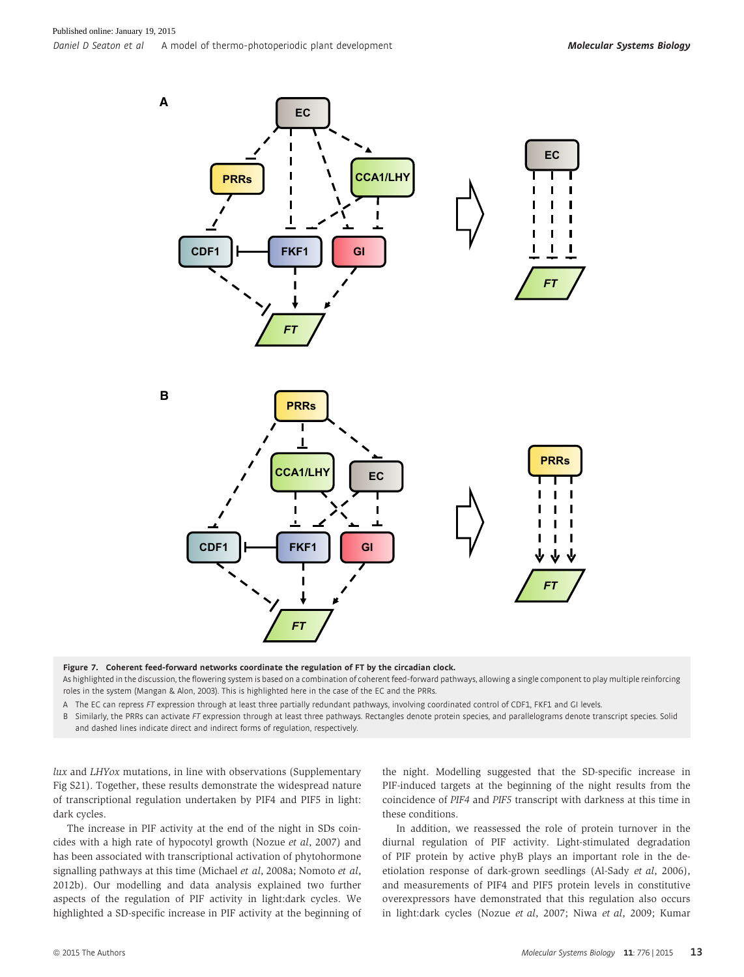

Figure 7. Coherent feed-forward networks coordinate the regulation of FT by the circadian clock.

As highlighted in the discussion, the flowering system is based on a combination of coherent feed-forward pathways, allowing a single component to play multiple reinforcing roles in the system (Mangan & Alon, 2003). This is highlighted here in the case of the EC and the PRRs.

A The EC can repress FT expression through at least three partially redundant pathways, involving coordinated control of CDF1, FKF1 and GI levels.

B Similarly, the PRRs can activate FT expression through at least three pathways. Rectangles denote protein species, and parallelograms denote transcript species. Solid and dashed lines indicate direct and indirect forms of regulation, respectively.

lux and LHYox mutations, in line with observations (Supplementary Fig S21). Together, these results demonstrate the widespread nature of transcriptional regulation undertaken by PIF4 and PIF5 in light: dark cycles.

The increase in PIF activity at the end of the night in SDs coincides with a high rate of hypocotyl growth (Nozue et al, 2007) and has been associated with transcriptional activation of phytohormone signalling pathways at this time (Michael et al, 2008a; Nomoto et al, 2012b). Our modelling and data analysis explained two further aspects of the regulation of PIF activity in light:dark cycles. We highlighted a SD-specific increase in PIF activity at the beginning of the night. Modelling suggested that the SD-specific increase in PIF-induced targets at the beginning of the night results from the coincidence of PIF4 and PIF5 transcript with darkness at this time in these conditions.

In addition, we reassessed the role of protein turnover in the diurnal regulation of PIF activity. Light-stimulated degradation of PIF protein by active phyB plays an important role in the deetiolation response of dark-grown seedlings (Al-Sady et al, 2006), and measurements of PIF4 and PIF5 protein levels in constitutive overexpressors have demonstrated that this regulation also occurs in light:dark cycles (Nozue et al, 2007; Niwa et al, 2009; Kumar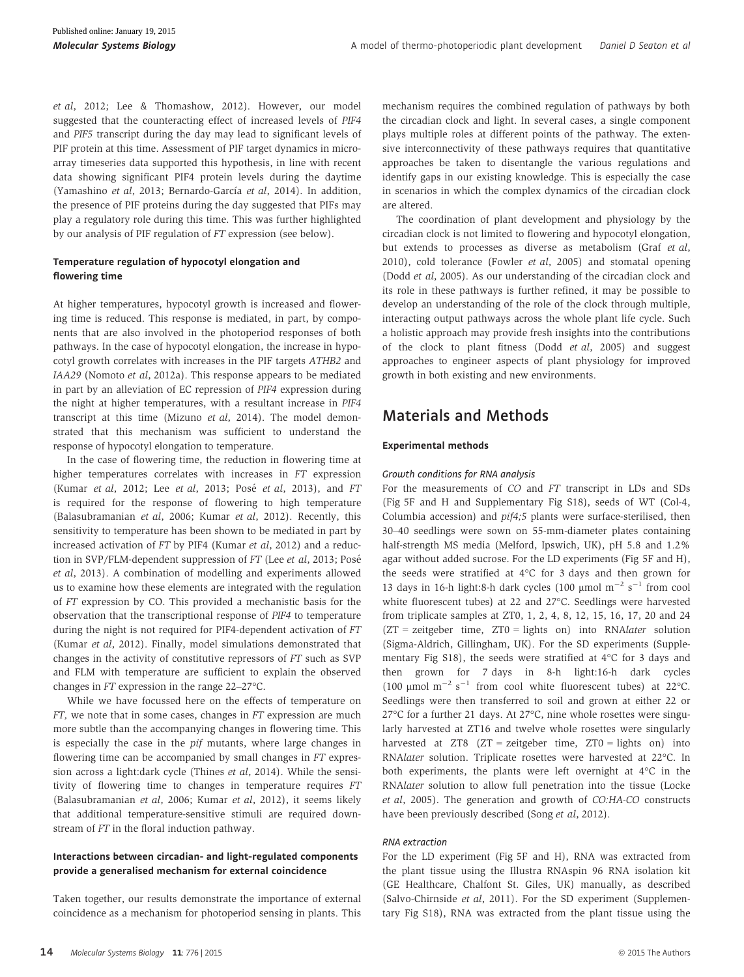et al, 2012; Lee & Thomashow, 2012). However, our model suggested that the counteracting effect of increased levels of PIF4 and PIF5 transcript during the day may lead to significant levels of PIF protein at this time. Assessment of PIF target dynamics in microarray timeseries data supported this hypothesis, in line with recent data showing significant PIF4 protein levels during the daytime (Yamashino et al, 2013; Bernardo-García et al, 2014). In addition, the presence of PIF proteins during the day suggested that PIFs may play a regulatory role during this time. This was further highlighted by our analysis of PIF regulation of FT expression (see below).

### Temperature regulation of hypocotyl elongation and flowering time

At higher temperatures, hypocotyl growth is increased and flowering time is reduced. This response is mediated, in part, by components that are also involved in the photoperiod responses of both pathways. In the case of hypocotyl elongation, the increase in hypocotyl growth correlates with increases in the PIF targets ATHB2 and IAA29 (Nomoto et al, 2012a). This response appears to be mediated in part by an alleviation of EC repression of PIF4 expression during the night at higher temperatures, with a resultant increase in PIF4 transcript at this time (Mizuno et al, 2014). The model demonstrated that this mechanism was sufficient to understand the response of hypocotyl elongation to temperature.

In the case of flowering time, the reduction in flowering time at higher temperatures correlates with increases in FT expression (Kumar et al, 2012; Lee et al, 2013; Posé et al, 2013), and FT is required for the response of flowering to high temperature (Balasubramanian et al, 2006; Kumar et al, 2012). Recently, this sensitivity to temperature has been shown to be mediated in part by increased activation of FT by PIF4 (Kumar et al, 2012) and a reduction in SVP/FLM-dependent suppression of FT (Lee et al, 2013; Posé et al, 2013). A combination of modelling and experiments allowed us to examine how these elements are integrated with the regulation of FT expression by CO. This provided a mechanistic basis for the observation that the transcriptional response of PIF4 to temperature during the night is not required for PIF4-dependent activation of FT (Kumar et al, 2012). Finally, model simulations demonstrated that changes in the activity of constitutive repressors of FT such as SVP and FLM with temperature are sufficient to explain the observed changes in FT expression in the range 22–27°C.

While we have focussed here on the effects of temperature on FT, we note that in some cases, changes in FT expression are much more subtle than the accompanying changes in flowering time. This is especially the case in the pif mutants, where large changes in flowering time can be accompanied by small changes in FT expression across a light:dark cycle (Thines et al, 2014). While the sensitivity of flowering time to changes in temperature requires FT (Balasubramanian et al, 2006; Kumar et al, 2012), it seems likely that additional temperature-sensitive stimuli are required downstream of FT in the floral induction pathway.

### Interactions between circadian- and light-regulated components provide a generalised mechanism for external coincidence

Taken together, our results demonstrate the importance of external coincidence as a mechanism for photoperiod sensing in plants. This mechanism requires the combined regulation of pathways by both the circadian clock and light. In several cases, a single component plays multiple roles at different points of the pathway. The extensive interconnectivity of these pathways requires that quantitative approaches be taken to disentangle the various regulations and identify gaps in our existing knowledge. This is especially the case in scenarios in which the complex dynamics of the circadian clock are altered.

The coordination of plant development and physiology by the circadian clock is not limited to flowering and hypocotyl elongation, but extends to processes as diverse as metabolism (Graf et al, 2010), cold tolerance (Fowler et al, 2005) and stomatal opening (Dodd et al, 2005). As our understanding of the circadian clock and its role in these pathways is further refined, it may be possible to develop an understanding of the role of the clock through multiple, interacting output pathways across the whole plant life cycle. Such a holistic approach may provide fresh insights into the contributions of the clock to plant fitness (Dodd et al, 2005) and suggest approaches to engineer aspects of plant physiology for improved growth in both existing and new environments.

# Materials and Methods

### Experimental methods

### Growth conditions for RNA analysis

For the measurements of CO and FT transcript in LDs and SDs (Fig 5F and H and Supplementary Fig S18), seeds of WT (Col-4, Columbia accession) and pif4;5 plants were surface-sterilised, then 30–40 seedlings were sown on 55-mm-diameter plates containing half-strength MS media (Melford, Ipswich, UK), pH 5.8 and 1.2% agar without added sucrose. For the LD experiments (Fig 5F and H), the seeds were stratified at 4°C for 3 days and then grown for 13 days in 16-h light:8-h dark cycles (100 µmol  $m^{-2}$  s<sup>-1</sup> from cool white fluorescent tubes) at 22 and 27°C. Seedlings were harvested from triplicate samples at ZT0, 1, 2, 4, 8, 12, 15, 16, 17, 20 and 24 (ZT = zeitgeber time, ZT0 = lights on) into RNAlater solution (Sigma-Aldrich, Gillingham, UK). For the SD experiments (Supplementary Fig S18), the seeds were stratified at 4°C for 3 days and then grown for 7 days in 8-h light:16-h dark cycles (100 µmol m<sup>-2</sup> s<sup>-1</sup> from cool white fluorescent tubes) at 22°C. Seedlings were then transferred to soil and grown at either 22 or 27°C for a further 21 days. At 27°C, nine whole rosettes were singularly harvested at ZT16 and twelve whole rosettes were singularly harvested at ZT8 (ZT = zeitgeber time, ZT0 = lights on) into RNAlater solution. Triplicate rosettes were harvested at 22°C. In both experiments, the plants were left overnight at 4°C in the RNAlater solution to allow full penetration into the tissue (Locke et al, 2005). The generation and growth of CO:HA-CO constructs have been previously described (Song et al, 2012).

### RNA extraction

For the LD experiment (Fig 5F and H), RNA was extracted from the plant tissue using the Illustra RNAspin 96 RNA isolation kit (GE Healthcare, Chalfont St. Giles, UK) manually, as described (Salvo-Chirnside et al, 2011). For the SD experiment (Supplementary Fig S18), RNA was extracted from the plant tissue using the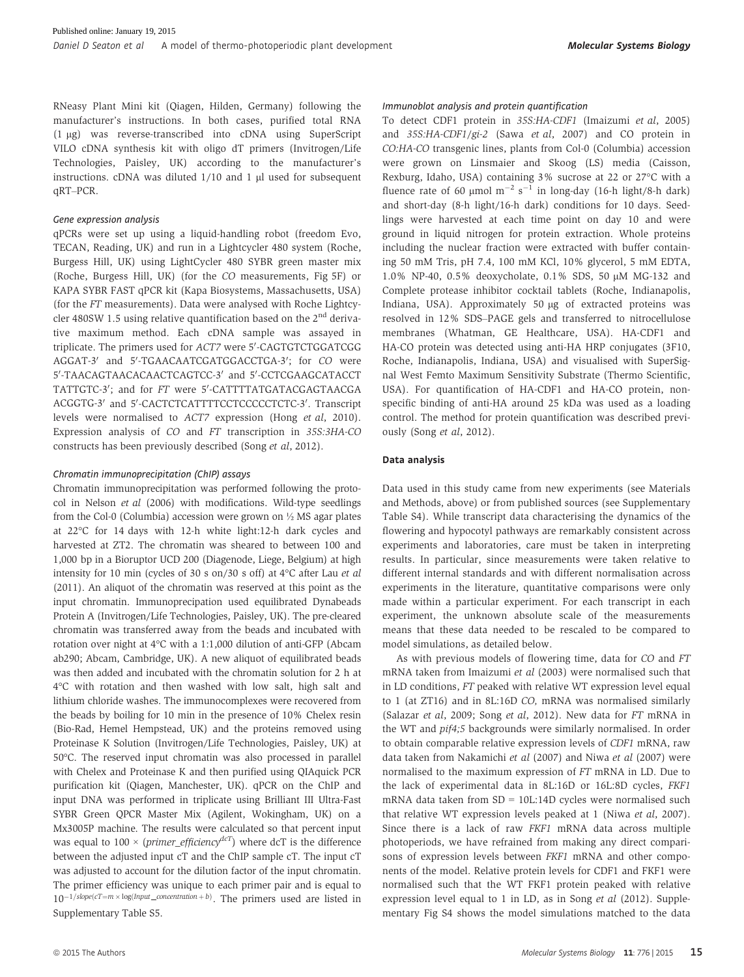RNeasy Plant Mini kit (Qiagen, Hilden, Germany) following the manufacturer's instructions. In both cases, purified total RNA (1 lg) was reverse-transcribed into cDNA using SuperScript VILO cDNA synthesis kit with oligo dT primers (Invitrogen/Life Technologies, Paisley, UK) according to the manufacturer's instructions.  $cDNA$  was diluted  $1/10$  and  $1 \mu l$  used for subsequent qRT–PCR.

### Gene expression analysis

qPCRs were set up using a liquid-handling robot (freedom Evo, TECAN, Reading, UK) and run in a Lightcycler 480 system (Roche, Burgess Hill, UK) using LightCycler 480 SYBR green master mix (Roche, Burgess Hill, UK) (for the CO measurements, Fig 5F) or KAPA SYBR FAST qPCR kit (Kapa Biosystems, Massachusetts, USA) (for the FT measurements). Data were analysed with Roche Lightcycler 480SW 1.5 using relative quantification based on the 2<sup>nd</sup> derivative maximum method. Each cDNA sample was assayed in triplicate. The primers used for *ACT7* were 5′-CAGTGTCTGGATCGG AGGAT-3′ and 5′-TGAACAATCGATGGACCTGA-3′; for *CO* were 5'-TAACAGTAACACAACTCAGTCC-3' and 5'-CCTCGAAGCATACCT TATTGTC-3′; and for *FT* were 5′-CATTTTATGATACGAGTAACGA ACGGTG-3' and 5'-CACTCTCATTTTCCTCCCCCTCTC-3'. Transcript levels were normalised to ACT7 expression (Hong et al, 2010). Expression analysis of CO and FT transcription in 35S:3HA-CO constructs has been previously described (Song et al, 2012).

### Chromatin immunoprecipitation (ChIP) assays

Chromatin immunoprecipitation was performed following the protocol in Nelson et al (2006) with modifications. Wild-type seedlings from the Col-0 (Columbia) accession were grown on ½ MS agar plates at 22°C for 14 days with 12-h white light:12-h dark cycles and harvested at ZT2. The chromatin was sheared to between 100 and 1,000 bp in a Bioruptor UCD 200 (Diagenode, Liege, Belgium) at high intensity for 10 min (cycles of 30 s on/30 s off) at 4°C after Lau et al (2011). An aliquot of the chromatin was reserved at this point as the input chromatin. Immunoprecipation used equilibrated Dynabeads Protein A (Invitrogen/Life Technologies, Paisley, UK). The pre-cleared chromatin was transferred away from the beads and incubated with rotation over night at 4°C with a 1:1,000 dilution of anti-GFP (Abcam ab290; Abcam, Cambridge, UK). A new aliquot of equilibrated beads was then added and incubated with the chromatin solution for 2 h at 4°C with rotation and then washed with low salt, high salt and lithium chloride washes. The immunocomplexes were recovered from the beads by boiling for 10 min in the presence of 10% Chelex resin (Bio-Rad, Hemel Hempstead, UK) and the proteins removed using Proteinase K Solution (Invitrogen/Life Technologies, Paisley, UK) at 50°C. The reserved input chromatin was also processed in parallel with Chelex and Proteinase K and then purified using QIAquick PCR purification kit (Qiagen, Manchester, UK). qPCR on the ChIP and input DNA was performed in triplicate using Brilliant III Ultra-Fast SYBR Green QPCR Master Mix (Agilent, Wokingham, UK) on a Mx3005P machine. The results were calculated so that percent input was equal to 100  $\times$  (*primer\_efficiency<sup>dcT</sup>*) where dcT is the difference between the adjusted input cT and the ChIP sample cT. The input cT was adjusted to account for the dilution factor of the input chromatin. The primer efficiency was unique to each primer pair and is equal to  $10^{-1/slope(cT=m \times log(nput\_concentration + b)}$ . The primers used are listed in Supplementary Table S5.

### Immunoblot analysis and protein quantification

To detect CDF1 protein in 35S:HA-CDF1 (Imaizumi et al, 2005) and 35S:HA-CDF1/gi-2 (Sawa et al, 2007) and CO protein in CO:HA-CO transgenic lines, plants from Col-0 (Columbia) accession were grown on Linsmaier and Skoog (LS) media (Caisson, Rexburg, Idaho, USA) containing 3% sucrose at 22 or 27°C with a fluence rate of 60  $\mu$ mol m<sup>-2</sup> s<sup>-1</sup> in long-day (16-h light/8-h dark) and short-day (8-h light/16-h dark) conditions for 10 days. Seedlings were harvested at each time point on day 10 and were ground in liquid nitrogen for protein extraction. Whole proteins including the nuclear fraction were extracted with buffer containing 50 mM Tris, pH 7.4, 100 mM KCl, 10% glycerol, 5 mM EDTA, 1.0% NP-40, 0.5% deoxycholate, 0.1% SDS, 50 μM MG-132 and Complete protease inhibitor cocktail tablets (Roche, Indianapolis, Indiana, USA). Approximately 50 µg of extracted proteins was resolved in 12% SDS–PAGE gels and transferred to nitrocellulose membranes (Whatman, GE Healthcare, USA). HA-CDF1 and HA-CO protein was detected using anti-HA HRP conjugates (3F10, Roche, Indianapolis, Indiana, USA) and visualised with SuperSignal West Femto Maximum Sensitivity Substrate (Thermo Scientific, USA). For quantification of HA-CDF1 and HA-CO protein, nonspecific binding of anti-HA around 25 kDa was used as a loading control. The method for protein quantification was described previously (Song et al, 2012).

### Data analysis

Data used in this study came from new experiments (see Materials and Methods, above) or from published sources (see Supplementary Table S4). While transcript data characterising the dynamics of the flowering and hypocotyl pathways are remarkably consistent across experiments and laboratories, care must be taken in interpreting results. In particular, since measurements were taken relative to different internal standards and with different normalisation across experiments in the literature, quantitative comparisons were only made within a particular experiment. For each transcript in each experiment, the unknown absolute scale of the measurements means that these data needed to be rescaled to be compared to model simulations, as detailed below.

As with previous models of flowering time, data for CO and FT mRNA taken from Imaizumi et al (2003) were normalised such that in LD conditions, FT peaked with relative WT expression level equal to 1 (at ZT16) and in 8L:16D CO, mRNA was normalised similarly (Salazar et al, 2009; Song et al, 2012). New data for FT mRNA in the WT and pif4;5 backgrounds were similarly normalised. In order to obtain comparable relative expression levels of CDF1 mRNA, raw data taken from Nakamichi et al (2007) and Niwa et al (2007) were normalised to the maximum expression of FT mRNA in LD. Due to the lack of experimental data in 8L:16D or 16L:8D cycles, FKF1 mRNA data taken from SD = 10L:14D cycles were normalised such that relative WT expression levels peaked at 1 (Niwa et al, 2007). Since there is a lack of raw FKF1 mRNA data across multiple photoperiods, we have refrained from making any direct comparisons of expression levels between FKF1 mRNA and other components of the model. Relative protein levels for CDF1 and FKF1 were normalised such that the WT FKF1 protein peaked with relative expression level equal to 1 in LD, as in Song et al (2012). Supplementary Fig S4 shows the model simulations matched to the data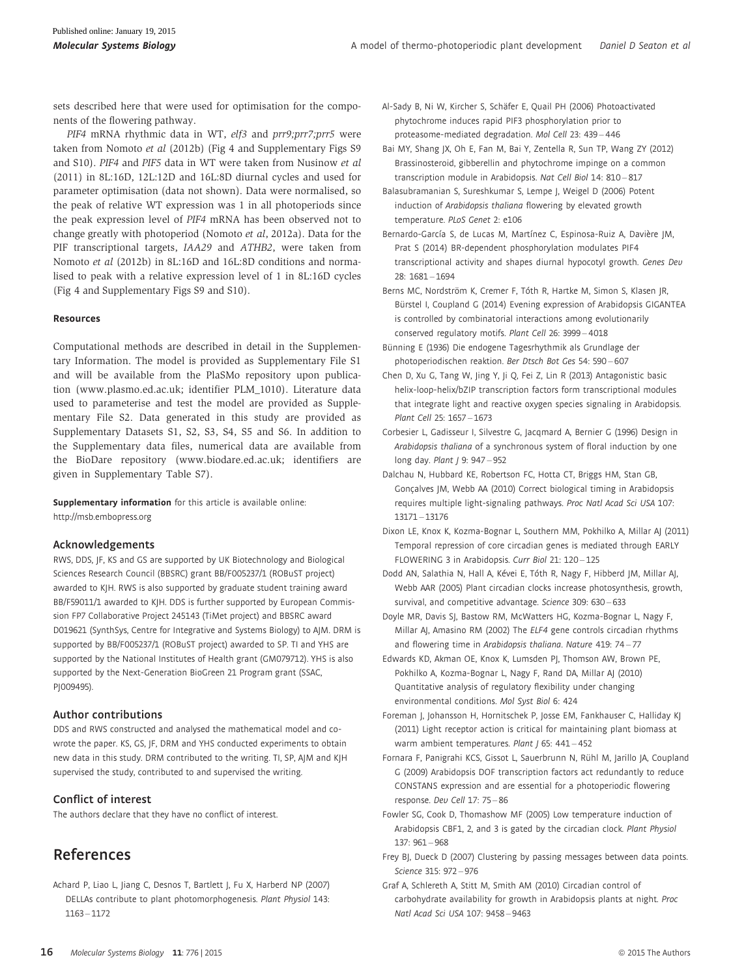sets described here that were used for optimisation for the components of the flowering pathway.

PIF4 mRNA rhythmic data in WT, elf3 and prr9;prr7;prr5 were taken from Nomoto et al (2012b) (Fig 4 and Supplementary Figs S9 and S10). PIF4 and PIF5 data in WT were taken from Nusinow et al (2011) in 8L:16D, 12L:12D and 16L:8D diurnal cycles and used for parameter optimisation (data not shown). Data were normalised, so the peak of relative WT expression was 1 in all photoperiods since the peak expression level of PIF4 mRNA has been observed not to change greatly with photoperiod (Nomoto et al, 2012a). Data for the PIF transcriptional targets, IAA29 and ATHB2, were taken from Nomoto et al (2012b) in 8L:16D and 16L:8D conditions and normalised to peak with a relative expression level of 1 in 8L:16D cycles (Fig 4 and Supplementary Figs S9 and S10).

### Resources

Computational methods are described in detail in the Supplementary Information. The model is provided as Supplementary File S1 and will be available from the PlaSMo repository upon publication ([www.plasmo.ed.ac.uk;](http://www.plasmo.ed.ac.uk) identifier PLM\_1010). Literature data used to parameterise and test the model are provided as Supplementary File S2. Data generated in this study are provided as Supplementary Datasets S1, S2, S3, S4, S5 and S6. In addition to the Supplementary data files, numerical data are available from the BioDare repository [\(www.biodare.ed.ac.uk](http://www.biodare.ed.ac.uk); identifiers are given in Supplementary Table S7).

Supplementary information for this article is available online: http://msb.embopress.org

### Acknowledgements

RWS, DDS, JF, KS and GS are supported by UK Biotechnology and Biological Sciences Research Council (BBSRC) grant BB/F005237/1 (ROBuST project) awarded to KJH. RWS is also supported by graduate student training award BB/F59011/1 awarded to KJH. DDS is further supported by European Commission FP7 Collaborative Project 245143 (TiMet project) and BBSRC award D019621 (SynthSys, Centre for Integrative and Systems Biology) to AJM. DRM is supported by BB/F005237/1 (ROBuST project) awarded to SP. TI and YHS are supported by the National Institutes of Health grant (GM079712). YHS is also supported by the Next-Generation BioGreen 21 Program grant (SSAC, PI009495).

### Author contributions

DDS and RWS constructed and analysed the mathematical model and cowrote the paper. KS, GS, JF, DRM and YHS conducted experiments to obtain new data in this study. DRM contributed to the writing. TI, SP, AJM and KJH supervised the study, contributed to and supervised the writing.

### Conflict of interest

The authors declare that they have no conflict of interest.

# References

Achard P, Liao L, Jiang C, Desnos T, Bartlett J, Fu X, Harberd NP (2007) DELLAs contribute to plant photomorphogenesis. Plant Physiol 143: 1163 – 1172

- Al-Sady B, Ni W, Kircher S, Schäfer E, Quail PH (2006) Photoactivated phytochrome induces rapid PIF3 phosphorylation prior to proteasome-mediated degradation. Mol Cell 23: 439 – 446
- Bai MY, Shang JX, Oh E, Fan M, Bai Y, Zentella R, Sun TP, Wang ZY (2012) Brassinosteroid, gibberellin and phytochrome impinge on a common transcription module in Arabidopsis. Nat Cell Biol 14: 810 – 817
- Balasubramanian S, Sureshkumar S, Lempe J, Weigel D (2006) Potent induction of Arabidopsis thaliana flowering by elevated growth temperature. PLoS Genet 2: e106
- Bernardo-García S, de Lucas M, Martínez C, Espinosa-Ruiz A, Davière JM, Prat S (2014) BR-dependent phosphorylation modulates PIF4 transcriptional activity and shapes diurnal hypocotyl growth. Genes Dev 28: 1681 – 1694
- Berns MC, Nordström K, Cremer F, Tóth R, Hartke M, Simon S, Klasen JR, Bürstel I, Coupland G (2014) Evening expression of Arabidopsis GIGANTEA is controlled by combinatorial interactions among evolutionarily conserved regulatory motifs. Plant Cell 26: 3999 – 4018
- Bünning E (1936) Die endogene Tagesrhythmik als Grundlage der photoperiodischen reaktion. Ber Dtsch Bot Ges 54: 590 – 607
- Chen D, Xu G, Tang W, Jing Y, Ji Q, Fei Z, Lin R (2013) Antagonistic basic helix-loop-helix/bZIP transcription factors form transcriptional modules that integrate light and reactive oxygen species signaling in Arabidopsis. Plant Cell 25: 1657 – 1673
- Corbesier L, Gadisseur I, Silvestre G, Jacqmard A, Bernier G (1996) Design in Arabidopsis thaliana of a synchronous system of floral induction by one long day. Plant | 9: 947-952
- Dalchau N, Hubbard KE, Robertson FC, Hotta CT, Briggs HM, Stan GB, Gonçalves JM, Webb AA (2010) Correct biological timing in Arabidopsis requires multiple light-signaling pathways. Proc Natl Acad Sci USA 107: 13171 – 13176
- Dixon LE, Knox K, Kozma-Bognar L, Southern MM, Pokhilko A, Millar AJ (2011) Temporal repression of core circadian genes is mediated through EARLY FLOWERING 3 in Arabidopsis. Curr Biol 21: 120 – 125
- Dodd AN, Salathia N, Hall A, Kévei E, Tóth R, Nagy F, Hibberd JM, Millar AJ, Webb AAR (2005) Plant circadian clocks increase photosynthesis, growth, survival, and competitive advantage. Science 309: 630 – 633
- Doyle MR, Davis SJ, Bastow RM, McWatters HG, Kozma-Bognar L, Nagy F, Millar AJ, Amasino RM (2002) The ELF4 gene controls circadian rhythms and flowering time in Arabidopsis thaliana. Nature 419: 74 – 77
- Edwards KD, Akman OE, Knox K, Lumsden PJ, Thomson AW, Brown PE, Pokhilko A, Kozma-Bognar L, Nagy F, Rand DA, Millar AJ (2010) Quantitative analysis of regulatory flexibility under changing environmental conditions. Mol Syst Biol 6: 424
- Foreman J, Johansson H, Hornitschek P, Josse EM, Fankhauser C, Halliday KJ (2011) Light receptor action is critical for maintaining plant biomass at warm ambient temperatures. Plant J 65: 441-452
- Fornara F, Panigrahi KCS, Gissot L, Sauerbrunn N, Rühl M, Jarillo JA, Coupland G (2009) Arabidopsis DOF transcription factors act redundantly to reduce CONSTANS expression and are essential for a photoperiodic flowering response. Dev Cell 17: 75 – 86
- Fowler SG, Cook D, Thomashow MF (2005) Low temperature induction of Arabidopsis CBF1, 2, and 3 is gated by the circadian clock. Plant Physiol 137: 961 – 968
- Frey BJ, Dueck D (2007) Clustering by passing messages between data points. Science 315: 972 – 976
- Graf A, Schlereth A, Stitt M, Smith AM (2010) Circadian control of carbohydrate availability for growth in Arabidopsis plants at night. Proc Natl Acad Sci USA 107: 9458 – 9463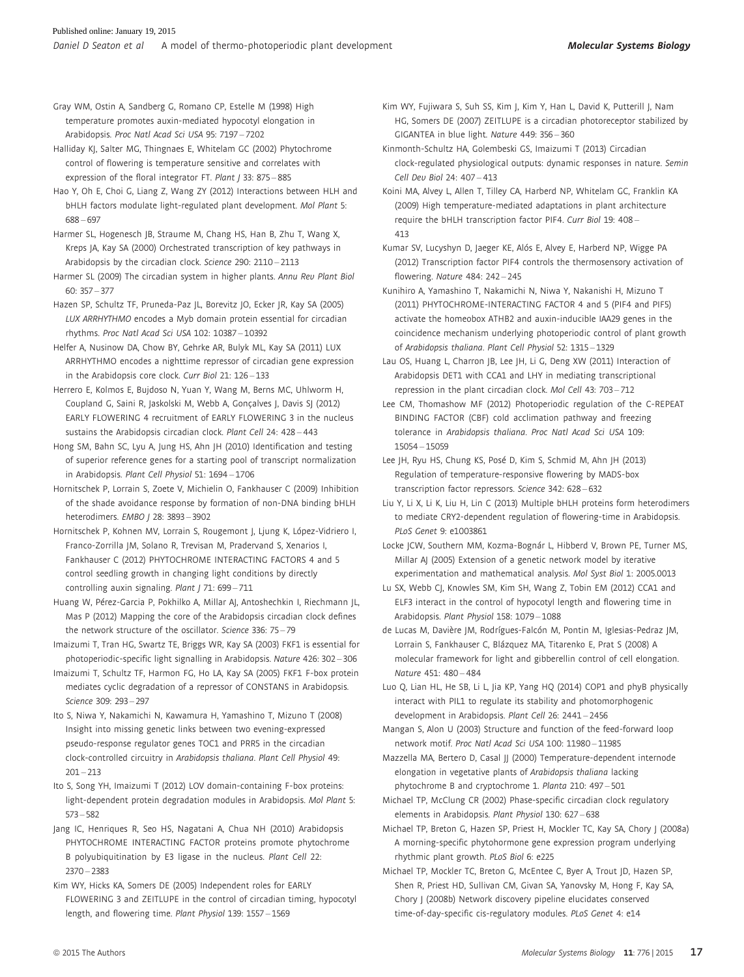Gray WM, Ostin A, Sandberg G, Romano CP, Estelle M (1998) High temperature promotes auxin-mediated hypocotyl elongation in Arabidopsis. Proc Natl Acad Sci USA 95: 7197 – 7202

Halliday KJ, Salter MG, Thingnaes E, Whitelam GC (2002) Phytochrome control of flowering is temperature sensitive and correlates with expression of the floral integrator FT. Plant / 33: 875 - 885

Hao Y, Oh E, Choi G, Liang Z, Wang ZY (2012) Interactions between HLH and bHLH factors modulate light-regulated plant development. Mol Plant 5: 688 – 697

Harmer SL, Hogenesch JB, Straume M, Chang HS, Han B, Zhu T, Wang X, Kreps JA, Kay SA (2000) Orchestrated transcription of key pathways in Arabidopsis by the circadian clock. Science 290: 2110 – 2113

Harmer SL (2009) The circadian system in higher plants. Annu Rev Plant Biol 60: 357 – 377

Hazen SP, Schultz TF, Pruneda-Paz JL, Borevitz JO, Ecker JR, Kay SA (2005) LUX ARRHYTHMO encodes a Myb domain protein essential for circadian rhythms. Proc Natl Acad Sci USA 102: 10387 – 10392

Helfer A, Nusinow DA, Chow BY, Gehrke AR, Bulyk ML, Kay SA (2011) LUX ARRHYTHMO encodes a nighttime repressor of circadian gene expression in the Arabidopsis core clock. Curr Biol 21: 126 – 133

Herrero E, Kolmos E, Bujdoso N, Yuan Y, Wang M, Berns MC, Uhlworm H, Coupland G, Saini R, Jaskolski M, Webb A, Gonçalves J, Davis SJ (2012) EARLY FLOWERING 4 recruitment of EARLY FLOWERING 3 in the nucleus sustains the Arabidopsis circadian clock. Plant Cell 24: 428 – 443

Hong SM, Bahn SC, Lyu A, Jung HS, Ahn JH (2010) Identification and testing of superior reference genes for a starting pool of transcript normalization in Arabidopsis. Plant Cell Physiol 51: 1694 – 1706

Hornitschek P, Lorrain S, Zoete V, Michielin O, Fankhauser C (2009) Inhibition of the shade avoidance response by formation of non-DNA binding bHLH heterodimers. EMBO | 28: 3893-3902

Hornitschek P, Kohnen MV, Lorrain S, Rougemont J, Ljung K, López-Vidriero I, Franco-Zorrilla JM, Solano R, Trevisan M, Pradervand S, Xenarios I, Fankhauser C (2012) PHYTOCHROME INTERACTING FACTORS 4 and 5 control seedling growth in changing light conditions by directly controlling auxin signaling. Plant J 71: 699-711

Huang W, Pérez-Garcia P, Pokhilko A, Millar AJ, Antoshechkin I, Riechmann JL, Mas P (2012) Mapping the core of the Arabidopsis circadian clock defines the network structure of the oscillator. Science 336: 75 – 79

Imaizumi T, Tran HG, Swartz TE, Briggs WR, Kay SA (2003) FKF1 is essential for photoperiodic-specific light signalling in Arabidopsis. Nature 426: 302 – 306

Imaizumi T, Schultz TF, Harmon FG, Ho LA, Kay SA (2005) FKF1 F-box protein mediates cyclic degradation of a repressor of CONSTANS in Arabidopsis. Science 309: 293 – 297

Ito S, Niwa Y, Nakamichi N, Kawamura H, Yamashino T, Mizuno T (2008) Insight into missing genetic links between two evening-expressed pseudo-response regulator genes TOC1 and PRR5 in the circadian clock-controlled circuitry in Arabidopsis thaliana. Plant Cell Physiol 49:  $201 - 213$ 

Ito S, Song YH, Imaizumi T (2012) LOV domain-containing F-box proteins: light-dependent protein degradation modules in Arabidopsis. Mol Plant 5: 573 – 582

Jang IC, Henriques R, Seo HS, Nagatani A, Chua NH (2010) Arabidopsis PHYTOCHROME INTERACTING FACTOR proteins promote phytochrome B polyubiquitination by E3 ligase in the nucleus. Plant Cell 22: 2370 – 2383

Kim WY, Hicks KA, Somers DE (2005) Independent roles for EARLY FLOWERING 3 and ZEITLUPE in the control of circadian timing, hypocotyl length, and flowering time. Plant Physiol 139: 1557 – 1569

Kim WY, Fujiwara S, Suh SS, Kim J, Kim Y, Han L, David K, Putterill J, Nam HG, Somers DE (2007) ZEITLUPE is a circadian photoreceptor stabilized by GIGANTEA in blue light. Nature 449: 356 – 360

Kinmonth-Schultz HA, Golembeski GS, Imaizumi T (2013) Circadian clock-regulated physiological outputs: dynamic responses in nature. Semin Cell Dev Biol 24: 407 – 413

Koini MA, Alvey L, Allen T, Tilley CA, Harberd NP, Whitelam GC, Franklin KA (2009) High temperature-mediated adaptations in plant architecture require the bHLH transcription factor PIF4. Curr Biol 19: 408 – 413

Kumar SV, Lucyshyn D, Jaeger KE, Alós E, Alvey E, Harberd NP, Wigge PA (2012) Transcription factor PIF4 controls the thermosensory activation of flowering. Nature 484: 242 – 245

Kunihiro A, Yamashino T, Nakamichi N, Niwa Y, Nakanishi H, Mizuno T (2011) PHYTOCHROME-INTERACTING FACTOR 4 and 5 (PIF4 and PIF5) activate the homeobox ATHB2 and auxin-inducible IAA29 genes in the coincidence mechanism underlying photoperiodic control of plant growth of Arabidopsis thaliana. Plant Cell Physiol 52: 1315 – 1329

Lau OS, Huang L, Charron JB, Lee JH, Li G, Deng XW (2011) Interaction of Arabidopsis DET1 with CCA1 and LHY in mediating transcriptional repression in the plant circadian clock. Mol Cell 43: 703 – 712

Lee CM, Thomashow MF (2012) Photoperiodic regulation of the C-REPEAT BINDING FACTOR (CBF) cold acclimation pathway and freezing tolerance in Arabidopsis thaliana. Proc Natl Acad Sci USA 109: 15054 – 15059

Lee JH, Ryu HS, Chung KS, Posé D, Kim S, Schmid M, Ahn JH (2013) Regulation of temperature-responsive flowering by MADS-box transcription factor repressors. Science 342: 628 – 632

Liu Y, Li X, Li K, Liu H, Lin C (2013) Multiple bHLH proteins form heterodimers to mediate CRY2-dependent regulation of flowering-time in Arabidopsis. PLoS Genet 9: e1003861

Locke JCW, Southern MM, Kozma-Bognár L, Hibberd V, Brown PE, Turner MS, Millar AJ (2005) Extension of a genetic network model by iterative experimentation and mathematical analysis. Mol Syst Biol 1: 2005.0013

Lu SX, Webb CJ, Knowles SM, Kim SH, Wang Z, Tobin EM (2012) CCA1 and ELF3 interact in the control of hypocotyl length and flowering time in Arabidopsis. Plant Physiol 158: 1079 – 1088

de Lucas M, Davière JM, Rodrígues-Falcón M, Pontin M, Iglesias-Pedraz JM, Lorrain S, Fankhauser C, Blázquez MA, Titarenko E, Prat S (2008) A molecular framework for light and gibberellin control of cell elongation. Nature 451: 480 – 484

Luo Q, Lian HL, He SB, Li L, Jia KP, Yang HQ (2014) COP1 and phyB physically interact with PIL1 to regulate its stability and photomorphogenic development in Arabidopsis. Plant Cell 26: 2441 – 2456

Mangan S, Alon U (2003) Structure and function of the feed-forward loop network motif. Proc Natl Acad Sci USA 100: 11980 – 11985

Mazzella MA, Bertero D, Casal JJ (2000) Temperature-dependent internode elongation in vegetative plants of Arabidopsis thaliana lacking phytochrome B and cryptochrome 1. Planta 210: 497 – 501

Michael TP, McClung CR (2002) Phase-specific circadian clock regulatory elements in Arabidopsis. Plant Physiol 130: 627 – 638

Michael TP, Breton G, Hazen SP, Priest H, Mockler TC, Kay SA, Chory J (2008a) A morning-specific phytohormone gene expression program underlying rhythmic plant growth. PLoS Biol 6: e225

Michael TP, Mockler TC, Breton G, McEntee C, Byer A, Trout JD, Hazen SP, Shen R, Priest HD, Sullivan CM, Givan SA, Yanovsky M, Hong F, Kay SA, Chory J (2008b) Network discovery pipeline elucidates conserved time-of-day-specific cis-regulatory modules. PLoS Genet 4: e14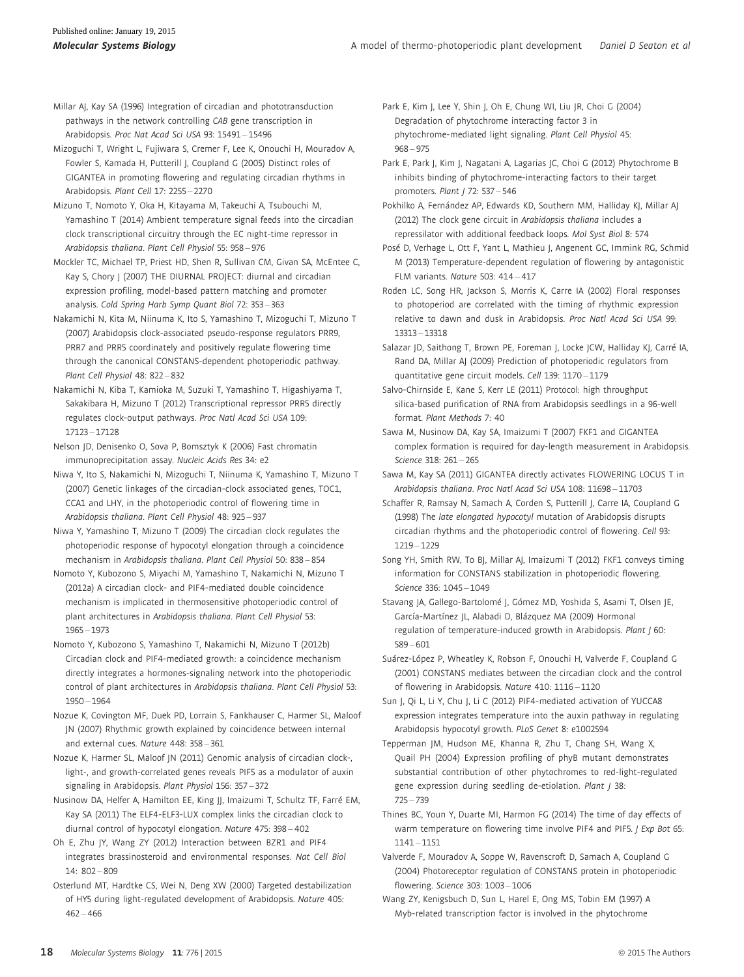Millar AJ, Kay SA (1996) Integration of circadian and phototransduction pathways in the network controlling CAB gene transcription in Arabidopsis. Proc Nat Acad Sci USA 93: 15491 – 15496

Mizoguchi T, Wright L, Fujiwara S, Cremer F, Lee K, Onouchi H, Mouradov A, Fowler S, Kamada H, Putterill J, Coupland G (2005) Distinct roles of GIGANTEA in promoting flowering and regulating circadian rhythms in Arabidopsis. Plant Cell 17: 2255 – 2270

Mizuno T, Nomoto Y, Oka H, Kitayama M, Takeuchi A, Tsubouchi M, Yamashino T (2014) Ambient temperature signal feeds into the circadian clock transcriptional circuitry through the EC night-time repressor in Arabidopsis thaliana. Plant Cell Physiol 55: 958 – 976

Mockler TC, Michael TP, Priest HD, Shen R, Sullivan CM, Givan SA, McEntee C, Kay S, Chory J (2007) THE DIURNAL PROJECT: diurnal and circadian expression profiling, model-based pattern matching and promoter analysis. Cold Spring Harb Symp Quant Biol 72: 353 – 363

Nakamichi N, Kita M, Niinuma K, Ito S, Yamashino T, Mizoguchi T, Mizuno T (2007) Arabidopsis clock-associated pseudo-response regulators PRR9, PRR7 and PRR5 coordinately and positively regulate flowering time through the canonical CONSTANS-dependent photoperiodic pathway. Plant Cell Physiol 48: 822 – 832

Nakamichi N, Kiba T, Kamioka M, Suzuki T, Yamashino T, Higashiyama T, Sakakibara H, Mizuno T (2012) Transcriptional repressor PRR5 directly regulates clock-output pathways. Proc Natl Acad Sci USA 109: 17123 – 17128

Nelson JD, Denisenko O, Sova P, Bomsztyk K (2006) Fast chromatin immunoprecipitation assay. Nucleic Acids Res 34: e2

Niwa Y, Ito S, Nakamichi N, Mizoguchi T, Niinuma K, Yamashino T, Mizuno T (2007) Genetic linkages of the circadian-clock associated genes, TOC1, CCA1 and LHY, in the photoperiodic control of flowering time in Arabidopsis thaliana. Plant Cell Physiol 48: 925 – 937

Niwa Y, Yamashino T, Mizuno T (2009) The circadian clock regulates the photoperiodic response of hypocotyl elongation through a coincidence mechanism in Arabidopsis thaliana. Plant Cell Physiol 50: 838 – 854

Nomoto Y, Kubozono S, Miyachi M, Yamashino T, Nakamichi N, Mizuno T (2012a) A circadian clock- and PIF4-mediated double coincidence mechanism is implicated in thermosensitive photoperiodic control of plant architectures in Arabidopsis thaliana. Plant Cell Physiol 53: 1965 – 1973

Nomoto Y, Kubozono S, Yamashino T, Nakamichi N, Mizuno T (2012b) Circadian clock and PIF4-mediated growth: a coincidence mechanism directly integrates a hormones-signaling network into the photoperiodic control of plant architectures in Arabidopsis thaliana. Plant Cell Physiol 53: 1950 – 1964

Nozue K, Covington MF, Duek PD, Lorrain S, Fankhauser C, Harmer SL, Maloof JN (2007) Rhythmic growth explained by coincidence between internal and external cues. Nature 448: 358 – 361

Nozue K, Harmer SL, Maloof JN (2011) Genomic analysis of circadian clock-, light-, and growth-correlated genes reveals PIF5 as a modulator of auxin signaling in Arabidopsis. Plant Physiol 156: 357 – 372

Nusinow DA, Helfer A, Hamilton EE, King JJ, Imaizumi T, Schultz TF, Farré EM, Kay SA (2011) The ELF4-ELF3-LUX complex links the circadian clock to diurnal control of hypocotyl elongation. Nature 475: 398 – 402

Oh E, Zhu JY, Wang ZY (2012) Interaction between BZR1 and PIF4 integrates brassinosteroid and environmental responses. Nat Cell Biol 14: 802 – 809

Osterlund MT, Hardtke CS, Wei N, Deng XW (2000) Targeted destabilization of HY5 during light-regulated development of Arabidopsis. Nature 405:  $462 - 466$ 

Park E, Kim J, Lee Y, Shin J, Oh E, Chung WI, Liu JR, Choi G (2004) Degradation of phytochrome interacting factor 3 in phytochrome-mediated light signaling. Plant Cell Physiol 45: 968 – 975

Park E, Park J, Kim J, Nagatani A, Lagarias JC, Choi G (2012) Phytochrome B inhibits binding of phytochrome-interacting factors to their target promoters. Plant J 72: 537 – 546

Pokhilko A, Fernández AP, Edwards KD, Southern MM, Halliday KJ, Millar AJ (2012) The clock gene circuit in Arabidopsis thaliana includes a repressilator with additional feedback loops. Mol Syst Biol 8: 574

Posé D, Verhage L, Ott F, Yant L, Mathieu J, Angenent GC, Immink RG, Schmid M (2013) Temperature-dependent regulation of flowering by antagonistic FLM variants. Nature 503: 414 – 417

Roden LC, Song HR, Jackson S, Morris K, Carre IA (2002) Floral responses to photoperiod are correlated with the timing of rhythmic expression relative to dawn and dusk in Arabidopsis. Proc Natl Acad Sci USA 99: 13313 – 13318

Salazar JD, Saithong T, Brown PE, Foreman J, Locke JCW, Halliday KJ, Carré IA, Rand DA, Millar AJ (2009) Prediction of photoperiodic regulators from quantitative gene circuit models. Cell 139: 1170 – 1179

Salvo-Chirnside E, Kane S, Kerr LE (2011) Protocol: high throughput silica-based purification of RNA from Arabidopsis seedlings in a 96-well format. Plant Methods 7: 40

Sawa M, Nusinow DA, Kay SA, Imaizumi T (2007) FKF1 and GIGANTEA complex formation is required for day-length measurement in Arabidopsis. Science 318: 261 – 265

Sawa M, Kay SA (2011) GIGANTEA directly activates FLOWERING LOCUS T in Arabidopsis thaliana. Proc Natl Acad Sci USA 108: 11698 – 11703

Schaffer R, Ramsay N, Samach A, Corden S, Putterill J, Carre IA, Coupland G (1998) The late elongated hypocotyl mutation of Arabidopsis disrupts circadian rhythms and the photoperiodic control of flowering. Cell 93: 1219 – 1229

Song YH, Smith RW, To BJ, Millar AJ, Imaizumi T (2012) FKF1 conveys timing information for CONSTANS stabilization in photoperiodic flowering. Science 336: 1045 – 1049

Stavang JA, Gallego-Bartolomé J, Gómez MD, Yoshida S, Asami T, Olsen JE, García-Martínez JL, Alabadi D, Blázquez MA (2009) Hormonal regulation of temperature-induced growth in Arabidopsis. Plant J 60: 589 – 601

Suárez-López P, Wheatley K, Robson F, Onouchi H, Valverde F, Coupland G (2001) CONSTANS mediates between the circadian clock and the control of flowering in Arabidopsis. Nature 410: 1116 – 1120

Sun J, Qi L, Li Y, Chu J, Li C (2012) PIF4-mediated activation of YUCCA8 expression integrates temperature into the auxin pathway in regulating Arabidopsis hypocotyl growth. PLoS Genet 8: e1002594

Tepperman JM, Hudson ME, Khanna R, Zhu T, Chang SH, Wang X, Quail PH (2004) Expression profiling of phyB mutant demonstrates substantial contribution of other phytochromes to red-light-regulated gene expression during seedling de-etiolation. Plant J 38: 725 – 739

Thines BC, Youn Y, Duarte MI, Harmon FG (2014) The time of day effects of warm temperature on flowering time involve PIF4 and PIF5. J Exp Bot 65: 1141 – 1151

Valverde F, Mouradov A, Soppe W, Ravenscroft D, Samach A, Coupland G (2004) Photoreceptor regulation of CONSTANS protein in photoperiodic flowering. Science 303: 1003 – 1006

Wang ZY, Kenigsbuch D, Sun L, Harel E, Ong MS, Tobin EM (1997) A Myb-related transcription factor is involved in the phytochrome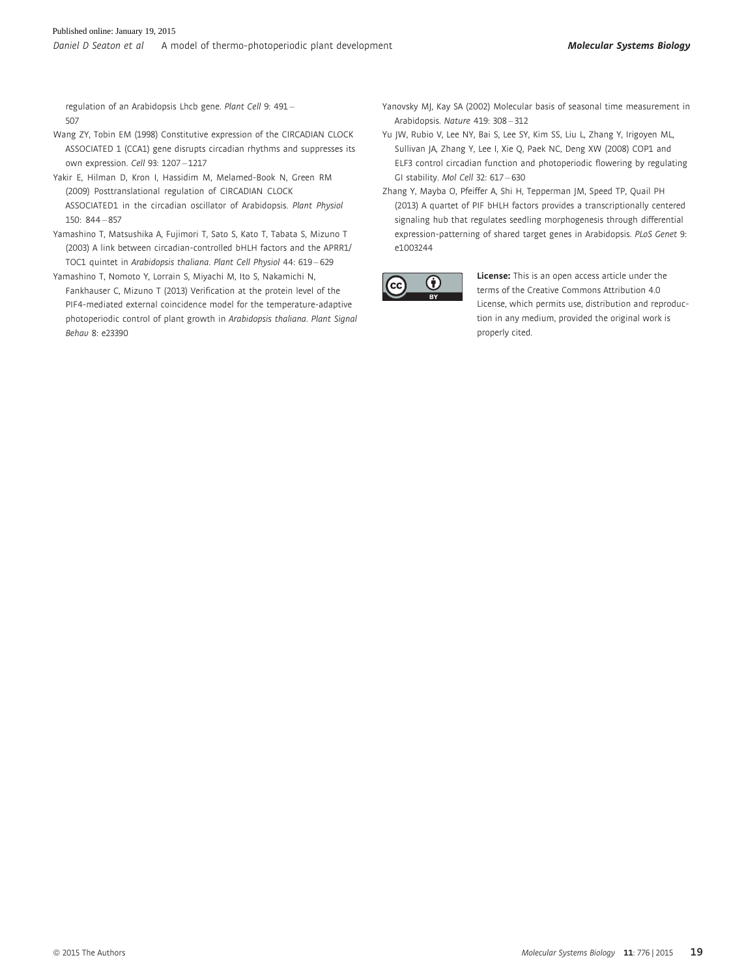regulation of an Arabidopsis Lhcb gene. Plant Cell 9: 491 – 507

- Wang ZY, Tobin EM (1998) Constitutive expression of the CIRCADIAN CLOCK ASSOCIATED 1 (CCA1) gene disrupts circadian rhythms and suppresses its own expression. Cell 93: 1207 – 1217
- Yakir E, Hilman D, Kron I, Hassidim M, Melamed-Book N, Green RM (2009) Posttranslational regulation of CIRCADIAN CLOCK ASSOCIATED1 in the circadian oscillator of Arabidopsis. Plant Physiol 150: 844 – 857
- Yamashino T, Matsushika A, Fujimori T, Sato S, Kato T, Tabata S, Mizuno T (2003) A link between circadian-controlled bHLH factors and the APRR1/ TOC1 quintet in Arabidopsis thaliana. Plant Cell Physiol 44: 619 – 629
- Yamashino T, Nomoto Y, Lorrain S, Miyachi M, Ito S, Nakamichi N, Fankhauser C, Mizuno T (2013) Verification at the protein level of the PIF4-mediated external coincidence model for the temperature-adaptive photoperiodic control of plant growth in Arabidopsis thaliana. Plant Signal Behav 8: e23390
- Yanovsky MJ, Kay SA (2002) Molecular basis of seasonal time measurement in Arabidopsis. Nature 419: 308 – 312
- Yu JW, Rubio V, Lee NY, Bai S, Lee SY, Kim SS, Liu L, Zhang Y, Irigoyen ML, Sullivan JA, Zhang Y, Lee I, Xie Q, Paek NC, Deng XW (2008) COP1 and ELF3 control circadian function and photoperiodic flowering by regulating GI stability. Mol Cell 32: 617 – 630
- Zhang Y, Mayba O, Pfeiffer A, Shi H, Tepperman JM, Speed TP, Quail PH (2013) A quartet of PIF bHLH factors provides a transcriptionally centered signaling hub that regulates seedling morphogenesis through differential expression-patterning of shared target genes in Arabidopsis. PLoS Genet 9: e1003244



License: This is an open access article under the terms of the Creative Commons Attribution 4.0 License, which permits use, distribution and reproduction in any medium, provided the original work is properly cited.